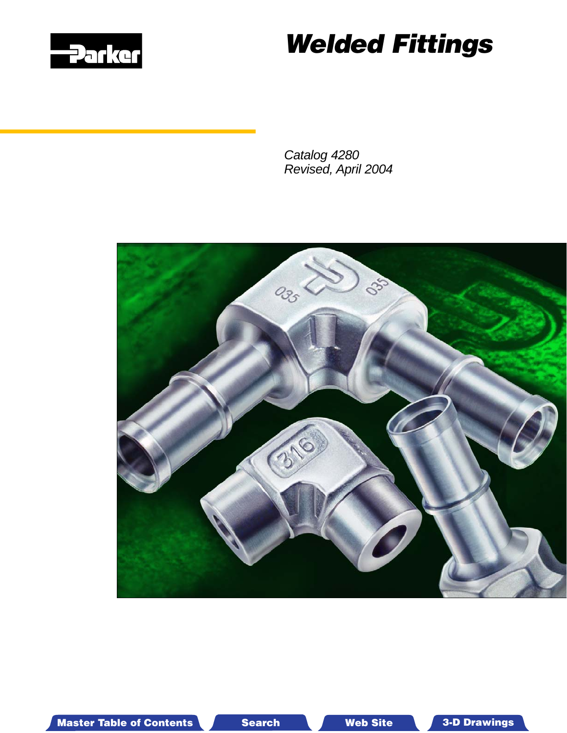

# *Welded Fittings*

*Catalog 4280 Revised, April 2004*



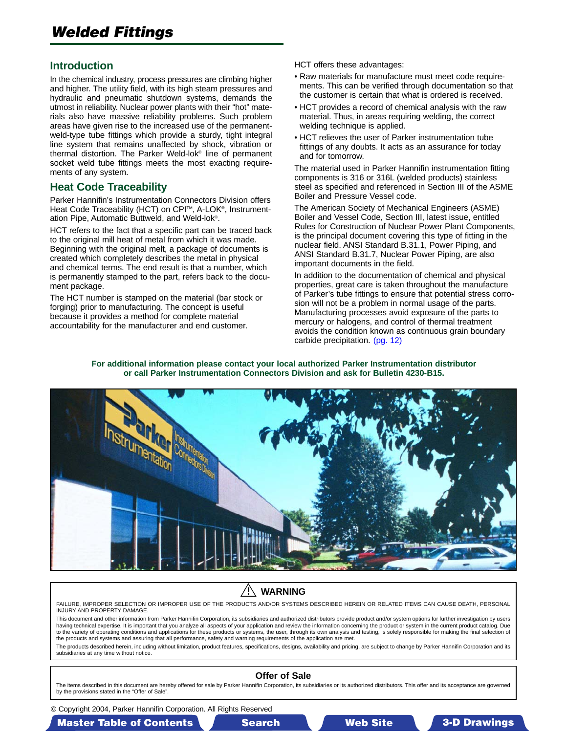#### <span id="page-1-0"></span>**Introduction**

In the chemical industry, process pressures are climbing higher and higher. The utility field, with its high steam pressures and hydraulic and pneumatic shutdown systems, demands the utmost in reliability. Nuclear power plants with their "hot" materials also have massive reliability problems. Such problem areas have given rise to the increased use of the permanentweld-type tube fittings which provide a sturdy, tight integral line system that remains unaffected by shock, vibration or thermal distortion. The Parker Weld-lok® line of permanent socket weld tube fittings meets the most exacting requirements of any system.

#### **Heat Code Traceability**

Parker Hannifin's Instrumentation Connectors Division offers Heat Code Traceability (HCT) on CPI™, A-LOK®, Instrumentation Pipe, Automatic Buttweld, and Weld-lok®.

HCT refers to the fact that a specific part can be traced back to the original mill heat of metal from which it was made. Beginning with the original melt, a package of documents is created which completely describes the metal in physical and chemical terms. The end result is that a number, which is permanently stamped to the part, refers back to the document package.

The HCT number is stamped on the material (bar stock or forging) prior to manufacturing. The concept is useful because it provides a method for complete material accountability for the manufacturer and end customer.

HCT offers these advantages:

- Raw materials for manufacture must meet code requirements. This can be verified through documentation so that the customer is certain that what is ordered is received.
- HCT provides a record of chemical analysis with the raw material. Thus, in areas requiring welding, the correct welding technique is applied.
- HCT relieves the user of Parker instrumentation tube fittings of any doubts. It acts as an assurance for today and for tomorrow.

The material used in Parker Hannifin instrumentation fitting components is 316 or 316L (welded products) stainless steel as specified and referenced in Section III of the ASME Boiler and Pressure Vessel code.

The American Society of Mechanical Engineers (ASME) Boiler and Vessel Code, Section III, latest issue, entitled Rules for Construction of Nuclear Power Plant Components, is the principal document covering this type of fitting in the nuclear field. ANSI Standard B.31.1, Power Piping, and ANSI Standard B.31.7, Nuclear Power Piping, are also important documents in the field.

In addition to the documentation of chemical and physical properties, great care is taken throughout the manufacture of Parker's tube fittings to ensure that potential stress corrosion will not be a problem in normal usage of the parts. Manufacturing processes avoid exposure of the parts to mercury or halogens, and control of thermal treatment avoids the conditi[on known as conti](#page-11-0)nuous grain boundary carbide precipitation. (pg. 12)

**For additional information please contact your local authorized Parker Instrumentation distributor or call Parker Instrumentation Connectors Division and ask for Bulletin 4230-B15.**



#### Æ **WARNING**

FAILURE, IMPROPER SELECTION OR IMPROPER USE OF THE PRODUCTS AND/OR SYSTEMS DESCRIBED HEREIN OR RELATED ITEMS CAN CAUSE DEATH, PERSONAL INJURY AND PROPERTY DAMAGE.

This document and other information from Parker Hannifin Corporation, its subsidiaries and authorized distributors provide product and/or system options for further investigation by users having technical expertise. It is important that you analyze all aspects of your application and review the information concerning the product or system in the current product catalog. Due to the variety of operating conditions and applications for these products or systems, the user, through its own analysis and testing, is solely responsible for making the final selection of the products and systems and assuring that all performance, safety and warning requirements of the application are met.

The products described herein, including without limitation, product features, specifications, designs, availability and pricing, are subject to change by Parker Hannifin Corporation and its subsidiaries at any time without notice.

#### **Offer of Sale**

The items described in this document are hereby offered for sale by Parker Hannifin Corporation, its subsidiaries or its authorized distributors. This offer and its acceptance are governed by the provisions stated in the "Offer of Sale".

© Copyright 2004, Parker Hannifin Corporation. All Rights Reserved

#### Master Table of Contents **Master T Search Master T Web Site able of Contents 3-D Drawings** 3-D Drawings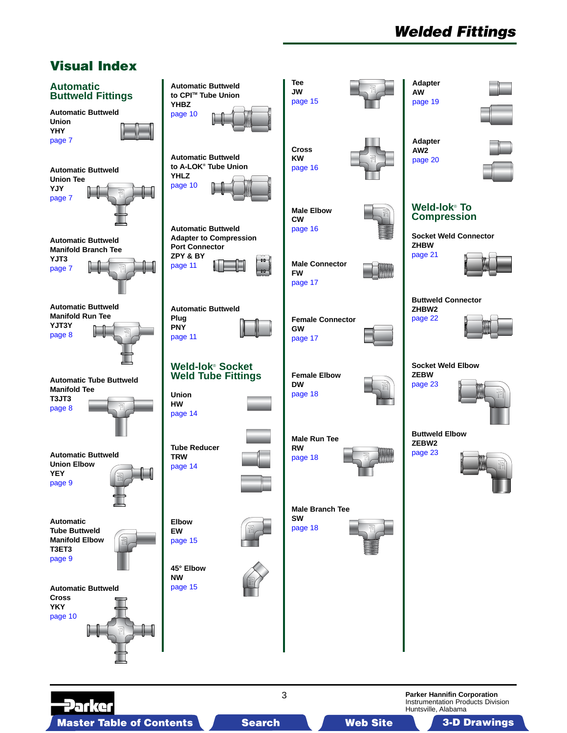# *Welded Fittings*

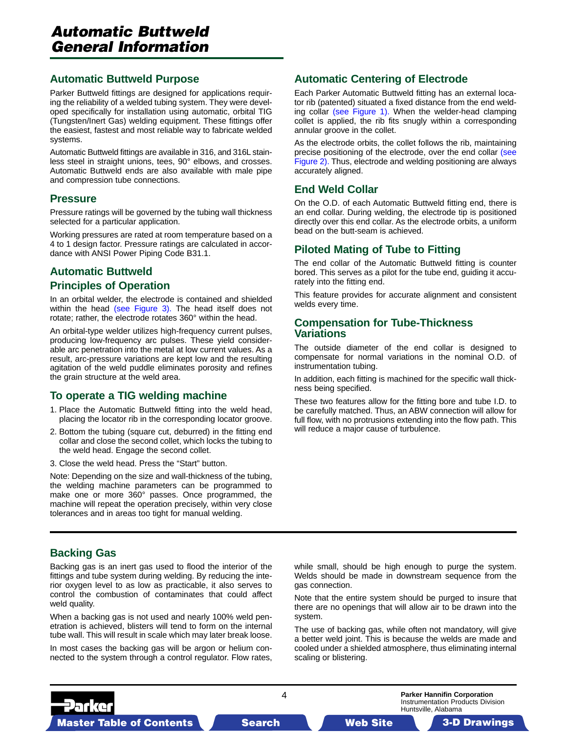#### **Automatic Buttweld Purpose**

Parker Buttweld fittings are designed for applications requiring the reliability of a welded tubing system. They were developed specifically for installation using automatic, orbital TIG (Tungsten/Inert Gas) welding equipment. These fittings offer the easiest, fastest and most reliable way to fabricate welded systems.

Automatic Buttweld fittings are available in 316, and 316L stainless steel in straight unions, tees, 90° elbows, and crosses. Automatic Buttweld ends are also available with male pipe and compression tube connections.

#### **Pressure**

Pressure ratings will be governed by the tubing wall thickness selected for a particular application.

Working pressures are rated at room temperature based on a 4 to 1 design factor. Pressure ratings are calculated in accordance with ANSI Power Piping Code B31.1.

#### **Automatic Buttweld Principles of Operation**

In an orbital w[elder, the electrode is](#page-4-0) contained and shielded within the head (see Figure 3). The head itself does not rotate; rather, the electrode rotates 360° within the head.

An orbital-type welder utilizes high-frequency current pulses, producing low-frequency arc pulses. These yield considerable arc penetration into the metal at low current values. As a result, arc-pressure variations are kept low and the resulting agitation of the weld puddle eliminates porosity and refines the grain structure at the weld area.

#### **To operate a TIG welding machine**

- 1. Place the Automatic Buttweld fitting into the weld head, placing the locator rib in the corresponding locator groove.
- 2. Bottom the tubing (square cut, deburred) in the fitting end collar and close the second collet, which locks the tubing to the weld head. Engage the second collet.
- 3. Close the weld head. Press the "Start" button.

Note: Depending on the size and wall-thickness of the tubing, the welding machine parameters can be programmed to make one or more 360° passes. Once programmed, the machine will repeat the operation precisely, within very close tolerances and in areas too tight for manual welding.

#### **Automatic Centering of Electrode**

Each Parker Automatic Buttweld fitting has an external loca[tor rib \(patented\) situated a fixed distance from the end weld](#page-4-0)ing collar (see Figure 1). When the welder-head clamping collet is applied, the rib fits snugly within a corresponding annular groove in the collet.

As the electrode orbits, the collet follows the rib, maintaining precise positioning of the electrode, over the end collar (see Figure 2). Thus, electrode and welding positioning are always accurately aligned.

#### **End Weld Collar**

On the O.D. of each Automatic Buttweld fitting end, there is an end collar. During welding, the electrode tip is positioned directly over this end collar. As the electrode orbits, a uniform bead on the butt-seam is achieved.

#### **Piloted Mating of Tube to Fitting**

The end collar of the Automatic Buttweld fitting is counter bored. This serves as a pilot for the tube end, guiding it accurately into the fitting end.

This feature provides for accurate alignment and consistent welds every time.

#### **Compensation for Tube-Thickness Variations**

The outside diameter of the end collar is designed to compensate for normal variations in the nominal O.D. of instrumentation tubing.

In addition, each fitting is machined for the specific wall thickness being specified.

These two features allow for the fitting bore and tube I.D. to be carefully matched. Thus, an ABW connection will allow for full flow, with no protrusions extending into the flow path. This will reduce a major cause of turbulence.

#### **Backing Gas**

Backing gas is an inert gas used to flood the interior of the fittings and tube system during welding. By reducing the interior oxygen level to as low as practicable, it also serves to control the combustion of contaminates that could affect weld quality.

When a backing gas is not used and nearly 100% weld penetration is achieved, blisters will tend to form on the internal tube wall. This will result in scale which may later break loose.

In most cases the backing gas will be argon or helium connected to the system through a control regulator. Flow rates, while small, should be high enough to purge the system. Welds should be made in downstream sequence from the gas connection.

Note that the entire system should be purged to insure that there are no openings that will allow air to be drawn into the system.

The use of backing gas, while often not mandatory, will give a better weld joint. This is because the welds are made and cooled under a shielded atmosphere, thus eliminating internal scaling or blistering.

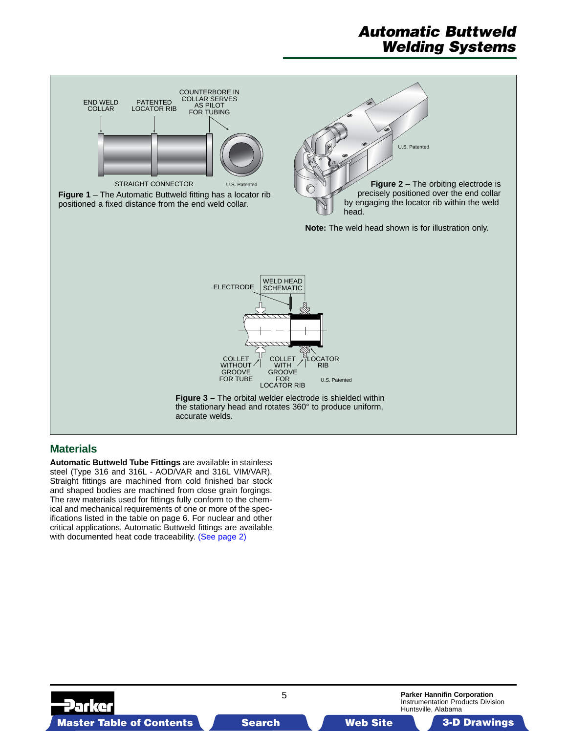## *Automatic Buttweld Welding Systems*

<span id="page-4-0"></span>

#### **Materials**

**Automatic Buttweld Tube Fittings** are available in stainless steel (Type 316 and 316L - AOD/VAR and 316L VIM/VAR). Straight fittings are machined from cold finished bar stock and shaped bodies are machined from close grain forgings. The raw materials used for fittings fully conform to the chemical and mechanical requirements of one or more of the specifications listed in the table on page 6. For nuclear and other critical applications, Automatic B[uttweld fittings are available](#page-1-0) with documented heat code traceability. (See page 2)

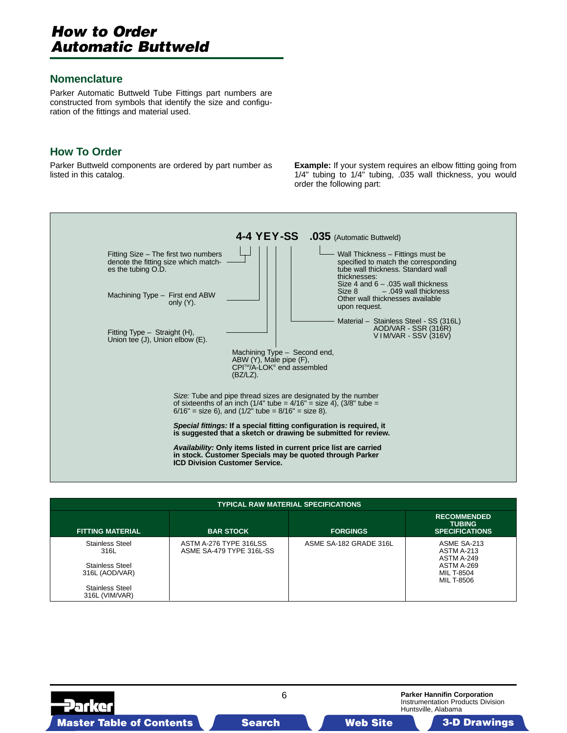### *How to Order Automatic Buttweld*

#### **Nomenclature**

Parker Automatic Buttweld Tube Fittings part numbers are constructed from symbols that identify the size and configuration of the fittings and material used.

### **How To Order**

Parker Buttweld components are ordered by part number as listed in this catalog.

**Example:** If your system requires an elbow fitting going from 1/4" tubing to 1/4" tubing, .035 wall thickness, you would order the following part:



| <b>TYPICAL RAW MATERIAL SPECIFICATIONS</b>                                                                             |                                                    |                        |                                                                                                        |  |  |  |
|------------------------------------------------------------------------------------------------------------------------|----------------------------------------------------|------------------------|--------------------------------------------------------------------------------------------------------|--|--|--|
| <b>FITTING MATERIAL</b>                                                                                                | <b>BAR STOCK</b>                                   | <b>FORGINGS</b>        | <b>RECOMMENDED</b><br><b>TUBING</b><br><b>SPECIFICATIONS</b>                                           |  |  |  |
| <b>Stainless Steel</b><br>316L<br><b>Stainless Steel</b><br>316L (AOD/VAR)<br><b>Stainless Steel</b><br>316L (VIM/VAR) | ASTM A-276 TYPE 316LSS<br>ASME SA-479 TYPE 316L-SS | ASME SA-182 GRADE 316L | ASME SA-213<br>ASTM A-213<br><b>ASTM A-249</b><br>ASTM A-269<br><b>MIL T-8504</b><br><b>MIL T-8506</b> |  |  |  |

6

**Parker Hannifin Corporation** Instrumentation Products Division Huntsville, Alabama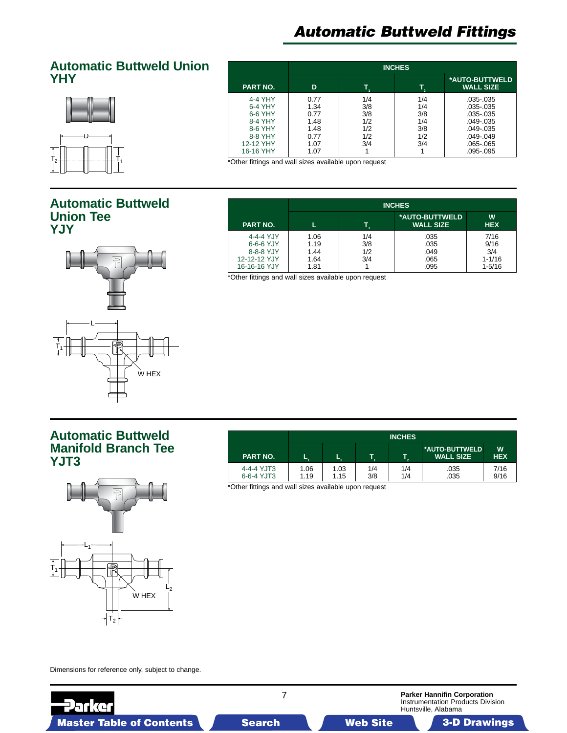### <span id="page-6-0"></span>**Automatic Buttweld Union YHY**



#### **INCHES \*AUTO-BUTTWELD PART NO. D T1 T2 WALL SIZE** 4-4 YHY 0.77 1/4 1/4 .035-.035 6-4 YHY 1.34 3/8 1/4 .035-.035 6-6 YHY 0.77 3/8 3/8 .035-.035<br>8-4 YHY 1.48 1/2 1/4 .049-.035 8-4 YHY 1.48 1/2 1/4 .049-.035<br>8-6 YHY 1.48 1/2 3/8 .049-.035 8-6 YHY 1.48 1/2 3/8 .049-.035<br>8-8 YHY 0.77 1/2 1/2 .049-.049  $\begin{array}{c|c|c|c|c|c|c|c|c} 0.77 & & 1/2 & & 1/2 & & 0.049-0.049 \ 1.07 & & 3/4 & & 3/4 & & 0.065-0.065 \end{array}$ 12-12 YHY 1.07 3/4 3/4 .065-.065<br>16-16 YHY 1.07 1 1 1 .095-.095 16-16 YHY

\*Other fittings and wall sizes available upon request

### **Automatic Buttweld Union Tee YJY**



|                                                                     | <b>INCHES</b>                        |                          |                                      |                                                 |  |
|---------------------------------------------------------------------|--------------------------------------|--------------------------|--------------------------------------|-------------------------------------------------|--|
| <b>PART NO.</b>                                                     |                                      |                          | *AUTO-BUTTWELD<br><b>WALL SIZE</b>   | W<br><b>HEX</b>                                 |  |
| 4-4-4 YJY<br>6-6-6 YJY<br>8-8-8 YJY<br>12-12-12 YJY<br>16-16-16 YJY | 1.06<br>1.19<br>1.44<br>1.64<br>1.81 | 1/4<br>3/8<br>1/2<br>3/4 | .035<br>.035<br>.049<br>.065<br>.095 | 7/16<br>9/16<br>3/4<br>$1 - 1/16$<br>$1 - 5/16$ |  |

\*Other fittings and wall sizes available upon request

### **Automatic Buttweld Manifold Branch Tee YJT3**



|                          | <b>INCHES</b> |              |            |            |                                    |                 |
|--------------------------|---------------|--------------|------------|------------|------------------------------------|-----------------|
| <b>PART NO.</b>          | ш.            |              |            | - 2        | *AUTO-BUTTWELD<br><b>WALL SIZE</b> | W<br><b>HEX</b> |
| 4-4-4 YJT3<br>6-6-4 YJT3 | 1.06<br>1.19  | 1.03<br>1.15 | 1/4<br>3/8 | 1/4<br>1/4 | .035<br>.035                       | 7/16<br>9/16    |

\*Other fittings and wall sizes available upon request

Dimensions for reference only, subject to change.

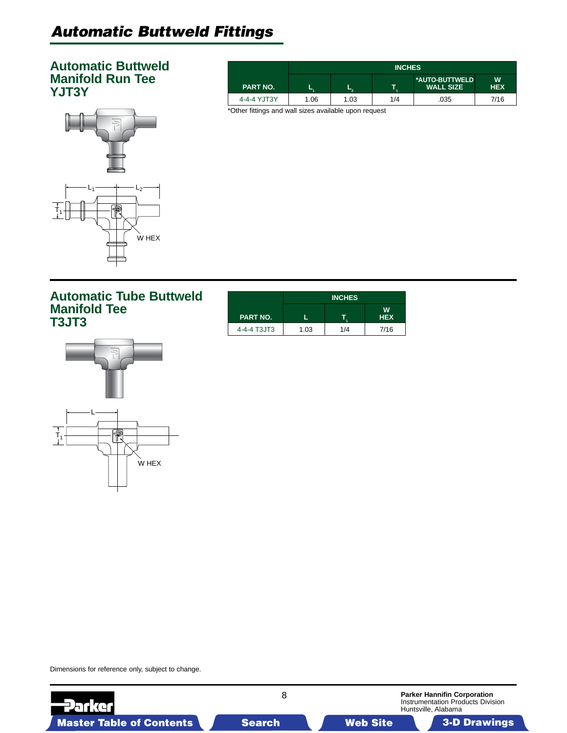### <span id="page-7-0"></span>**Automatic Buttweld Manifold Run Tee YJT3Y**

| $\Rightarrow$                     |  |
|-----------------------------------|--|
| -2<br>$\overline{t}_1$<br>$W$ HEX |  |

|                 | <b>INCHES</b> |      |     |                                    |                  |
|-----------------|---------------|------|-----|------------------------------------|------------------|
| <b>PART NO.</b> | ∽             | ъ.   |     | *AUTO-BUTTWELD<br><b>WALL SIZE</b> | W.<br><b>HEX</b> |
| 4-4-4 YJT3Y     | 1.06          | 1.03 | 1/4 | .035                               | 7/16             |

\*Other fittings and wall sizes available upon request

|                 | <b>INCHES</b> |     |            |  |  |
|-----------------|---------------|-----|------------|--|--|
| <b>PART NO.</b> |               |     | <b>HEX</b> |  |  |
| 4-4-4 T3JT3     | 1.03          | 1/4 | 7/16       |  |  |



Dimensions for reference only, subject to change.

**Parker** 

**Automatic Tube Buttweld** 

**Manifold Tee**

**T3JT3**



8

**Parker Hannifin Corporation** Instrumentation Products Division Huntsville, Alabama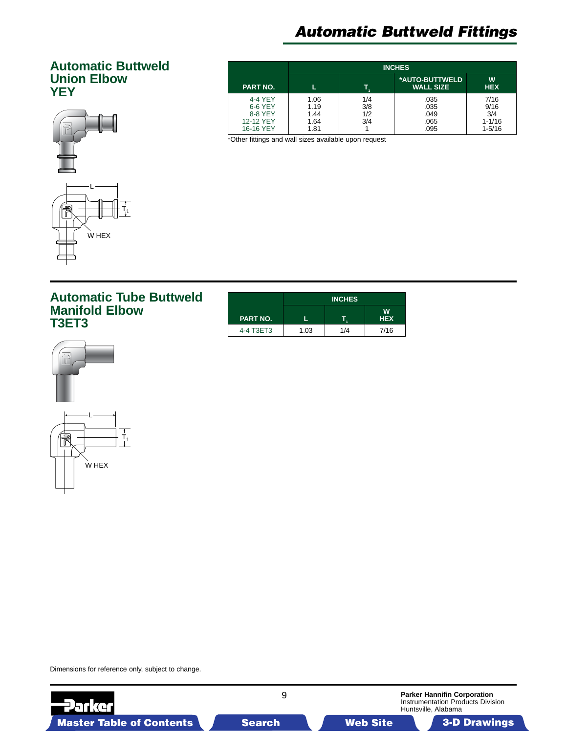### <span id="page-8-0"></span>**Automatic Buttweld Union Elbow YEY**



|                                                         | <b>INCHES</b>                        |                          |                                      |                                                 |  |
|---------------------------------------------------------|--------------------------------------|--------------------------|--------------------------------------|-------------------------------------------------|--|
| <b>PART NO.</b>                                         |                                      |                          | *AUTO-BUTTWELD<br><b>WALL SIZE</b>   | W<br><b>HEX</b>                                 |  |
| 4-4 YEY<br>6-6 YEY<br>8-8 YEY<br>12-12 YEY<br>16-16 YEY | 1.06<br>1.19<br>1.44<br>1.64<br>1.81 | 1/4<br>3/8<br>1/2<br>3/4 | .035<br>.035<br>.049<br>.065<br>.095 | 7/16<br>9/16<br>3/4<br>$1 - 1/16$<br>$1 - 5/16$ |  |

\*Other fittings and wall sizes available upon request

### **Automatic Tube Buttweld Manifold Elbow T3ET3**

|                 | <b>INCHES</b> |     |                 |  |  |
|-----------------|---------------|-----|-----------------|--|--|
| <b>PART NO.</b> |               |     | W<br><b>HEX</b> |  |  |
| 4-4 T3ET3       | 1.03          | 1/4 | 7/16            |  |  |



Dimensions for reference only, subject to change.

9 **Parker Hannifin Corporation Parker** Instrumentation Products Division Huntsville, Alabama Master Table of Contents Search Web Site 3-D Drawings Search Master Table of Contents 3-D Drawings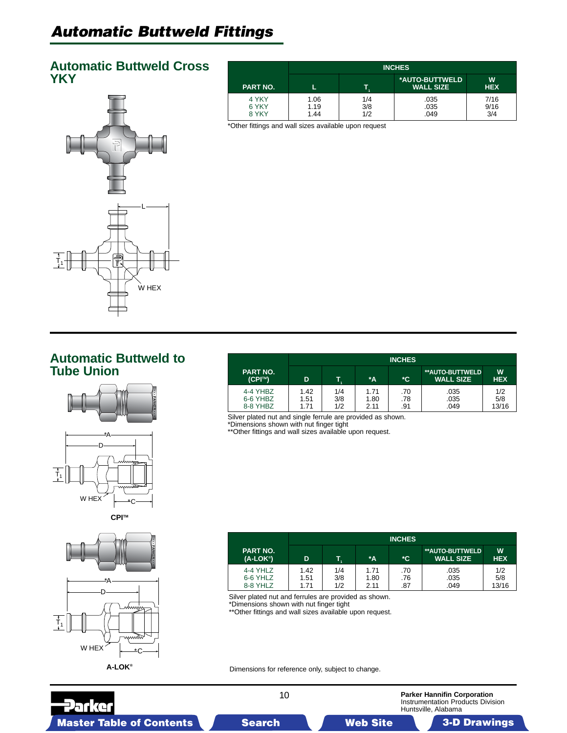### <span id="page-9-0"></span>**Automatic Buttweld Cross YKY**



|                         | <b>INCHES</b>        |                   |                                    |                     |  |
|-------------------------|----------------------|-------------------|------------------------------------|---------------------|--|
| <b>PART NO.</b>         |                      |                   | *AUTO-BUTTWELD<br><b>WALL SIZE</b> | W<br><b>HEX</b>     |  |
| 4 YKY<br>6 YKY<br>8 YKY | 1.06<br>1.19<br>1.44 | 1/4<br>3/8<br>1/2 | .035<br>.035<br>.049               | 7/16<br>9/16<br>3/4 |  |

\*Other fittings and wall sizes available upon request

### **Automatic Buttweld to Tube Union**





**CPITM**



|                                  | <b>INCHES</b>        |                   |                      |                   |                                     |                     |
|----------------------------------|----------------------|-------------------|----------------------|-------------------|-------------------------------------|---------------------|
| <b>PART NO.</b><br>(CPI™)        | D                    |                   | *A                   | *C                | **AUTO-BUTTWELD<br><b>WALL SIZE</b> | W<br><b>HEX</b>     |
| 4-4 YHBZ<br>6-6 YHBZ<br>8-8 YHBZ | 1.42<br>1.51<br>1.71 | 1/4<br>3/8<br>1/2 | 1.71<br>1.80<br>2.11 | .70<br>.78<br>.91 | .035<br>.035<br>.049                | 1/2<br>5/8<br>13/16 |

Silver plated nut and single ferrule are provided as shown.

\*Dimensions shown with nut finger tight

\*\*Other fittings and wall sizes available upon request.

|                                  | <b>INCHES</b>        |                   |                      |                   |                                            |                     |
|----------------------------------|----------------------|-------------------|----------------------|-------------------|--------------------------------------------|---------------------|
| <b>PART NO.</b><br>$(A-LOK®)$    | D                    | T.                | $^*A$                | *C                | <b>**AUTO-BUTTWELD</b><br><b>WALL SIZE</b> | W<br><b>HEX</b>     |
| 4-4 YHLZ<br>6-6 YHLZ<br>8-8 YHLZ | 1.42<br>1.51<br>1.71 | 1/4<br>3/8<br>1/2 | 1.71<br>1.80<br>2.11 | .70<br>.76<br>.87 | .035<br>.035<br>.049                       | 1/2<br>5/8<br>13/16 |

Silver plated nut and ferrules are provided as shown. \*Dimensions shown with nut finger tight

\*\*Other fittings and wall sizes available upon request.

Dimensions for reference only, subject to change.

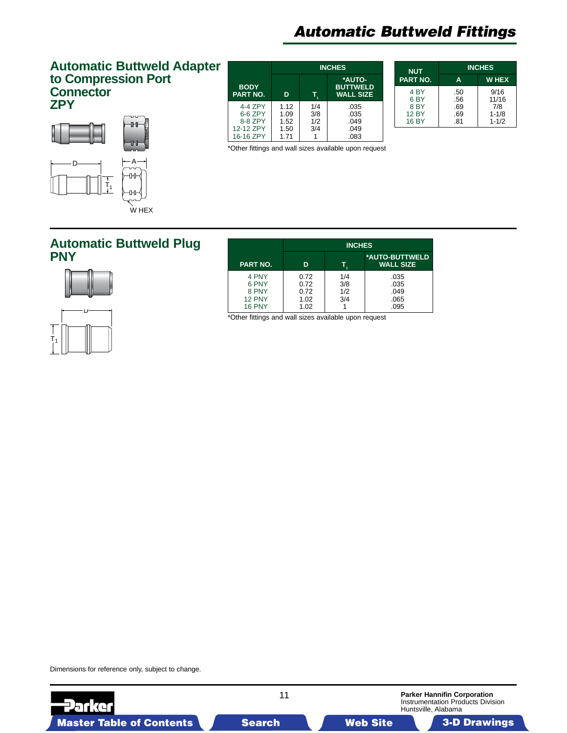#### <span id="page-10-0"></span>**Automatic Buttweld Adapter to Compression Port Connector ZPY**



**INCHES \*AUTO-BODY BUTTWELD PART NO. D T1 WALL SIZE**  $4-4$  ZPY  $\begin{array}{|c|c|c|c|c|} \hline 1.12 & 1/4 & .035 \\ 6-6 & 2PY & 1.09 & 3/8 & .035 \end{array}$ 6-6 ZPY | 1.09 | 3/8 | 0.035<br>8-8 ZPY | 1.52 | 1/2 | 0.049<br>2-12 ZPY | 1.50 | 3/4 | 0.049 8-8 ZPY | 1.52 | 1/2 | 049<br>2-12 ZPY | 1.50 | 3/4 | 049 12-12 ZPY | 1.50 | 3/4 | 049<br>16-16 ZPY | 1.71 | 1 | 083 16-16 ZPY

| <b>NUT</b>                                                                            | <b>INCHES</b>                   |                                                |  |  |
|---------------------------------------------------------------------------------------|---------------------------------|------------------------------------------------|--|--|
| <b>PART NO.</b>                                                                       | A                               | <b>WHEX</b>                                    |  |  |
| 4 <sub>BY</sub><br>6 <sub>BY</sub><br>8 <sub>BY</sub><br><b>12 BY</b><br><b>16 BY</b> | .50<br>.56<br>.69<br>.69<br>.81 | 9/16<br>11/16<br>7/8<br>$1 - 1/8$<br>$1 - 1/2$ |  |  |

**Parker Hannifin Corporation** Instrumentation Products Division

Huntsville, Alabama

\*Other fittings and wall sizes available upon request

### **Automatic Buttweld Plug PNY**





| natic Buttweld Plug |                                                           |                                      | <b>INCHES</b>            |                                      |
|---------------------|-----------------------------------------------------------|--------------------------------------|--------------------------|--------------------------------------|
|                     | PART NO.                                                  | D                                    |                          | *AUTO-BUTTWELD<br><b>WALL SIZE</b>   |
| Ď۰                  | 4 PNY<br>6 PNY<br>8 PNY<br><b>12 PNY</b><br><b>16 PNY</b> | 0.72<br>0.72<br>0.72<br>1.02<br>1.02 | 1/4<br>3/8<br>1/2<br>3/4 | .035<br>.035<br>.049<br>.065<br>.095 |

\*Other fittings and wall sizes available upon request

11

Master Table of Contents **3. Dearch Master Table of Contents 3-D Drawings 3-D Drawings 3-D Drawings 3-D Drawings** 

Dimensions for reference only, subject to change.

29 I G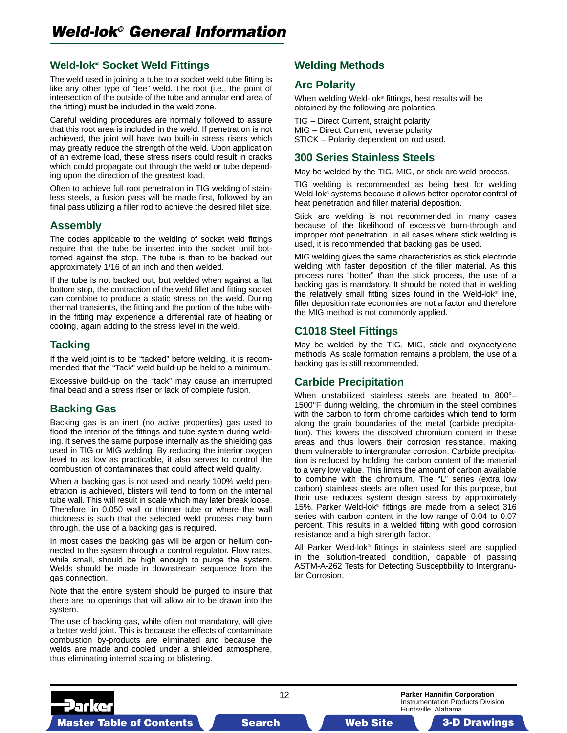<span id="page-11-0"></span>The weld used in joining a tube to a socket weld tube fitting is like any other type of "tee" weld. The root (i.e., the point of intersection of the outside of the tube and annular end area of the fitting) must be included in the weld zone.

Careful welding procedures are normally followed to assure that this root area is included in the weld. If penetration is not achieved, the joint will have two built-in stress risers which may greatly reduce the strength of the weld. Upon application of an extreme load, these stress risers could result in cracks which could propagate out through the weld or tube depending upon the direction of the greatest load.

Often to achieve full root penetration in TIG welding of stainless steels, a fusion pass will be made first, followed by an final pass utilizing a filler rod to achieve the desired fillet size.

#### **Assembly**

The codes applicable to the welding of socket weld fittings require that the tube be inserted into the socket until bottomed against the stop. The tube is then to be backed out approximately 1/16 of an inch and then welded.

If the tube is not backed out, but welded when against a flat bottom stop, the contraction of the weld fillet and fitting socket can combine to produce a static stress on the weld. During thermal transients, the fitting and the portion of the tube within the fitting may experience a differential rate of heating or cooling, again adding to the stress level in the weld.

#### **Tacking**

If the weld joint is to be "tacked" before welding, it is recommended that the "Tack" weld build-up be held to a minimum.

Excessive build-up on the "tack" may cause an interrupted final bead and a stress riser or lack of complete fusion.

#### **Backing Gas**

Backing gas is an inert (no active properties) gas used to flood the interior of the fittings and tube system during welding. It serves the same purpose internally as the shielding gas used in TIG or MIG welding. By reducing the interior oxygen level to as low as practicable, it also serves to control the combustion of contaminates that could affect weld quality.

When a backing gas is not used and nearly 100% weld penetration is achieved, blisters will tend to form on the internal tube wall. This will result in scale which may later break loose. Therefore, in 0.050 wall or thinner tube or where the wall thickness is such that the selected weld process may burn through, the use of a backing gas is required.

In most cases the backing gas will be argon or helium connected to the system through a control regulator. Flow rates, while small, should be high enough to purge the system. Welds should be made in downstream sequence from the gas connection.

Note that the entire system should be purged to insure that there are no openings that will allow air to be drawn into the system.

The use of backing gas, while often not mandatory, will give a better weld joint. This is because the effects of contaminate combustion by-products are eliminated and because the welds are made and cooled under a shielded atmosphere, thus eliminating internal scaling or blistering.

#### **Welding Methods**

#### **Arc Polarity**

When welding Weld-lok® fittings, best results will be obtained by the following arc polarities:

TIG – Direct Current, straight polarity MIG – Direct Current, reverse polarity STICK – Polarity dependent on rod used.

#### **300 Series Stainless Steels**

May be welded by the TIG, MIG, or stick arc-weld process.

TIG welding is recommended as being best for welding Weld-lok® systems because it allows better operator control of heat penetration and filler material deposition.

Stick arc welding is not recommended in many cases because of the likelihood of excessive burn-through and improper root penetration. In all cases where stick welding is used, it is recommended that backing gas be used.

MIG welding gives the same characteristics as stick electrode welding with faster deposition of the filler material. As this process runs "hotter" than the stick process, the use of a backing gas is mandatory. It should be noted that in welding the relatively small fitting sizes found in the Weld-lok® line, filler deposition rate economies are not a factor and therefore the MIG method is not commonly applied.

#### **C1018 Steel Fittings**

May be welded by the TIG, MIG, stick and oxyacetylene methods. As scale formation remains a problem, the use of a backing gas is still recommended.

#### **Carbide Precipitation**

When unstabilized stainless steels are heated to 800°– 1500°F during welding, the chromium in the steel combines with the carbon to form chrome carbides which tend to form along the grain boundaries of the metal (carbide precipitation). This lowers the dissolved chromium content in these areas and thus lowers their corrosion resistance, making them vulnerable to intergranular corrosion. Carbide precipitation is reduced by holding the carbon content of the material to a very low value. This limits the amount of carbon available to combine with the chromium. The "L" series (extra low carbon) stainless steels are often used for this purpose, but their use reduces system design stress by approximately 15%. Parker Weld-lok® fittings are made from a select 316 series with carbon content in the low range of 0.04 to 0.07 percent. This results in a welded fitting with good corrosion resistance and a high strength factor.

All Parker Weld-lok® fittings in stainless steel are supplied in the solution-treated condition, capable of passing ASTM-A-262 Tests for Detecting Susceptibility to Intergranular Corrosion.

**Parker Hannifin Corporation** Instrumentation Products Division Huntsville, Alabama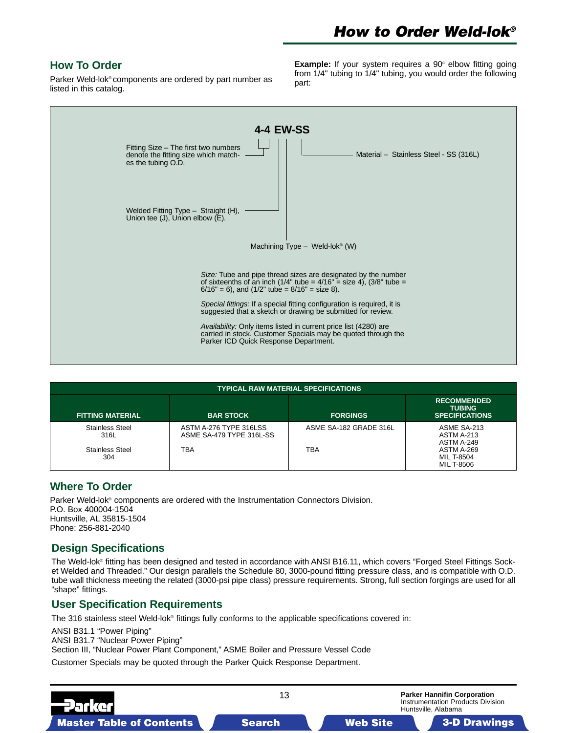#### **How To Order**

Parker Weld-lok® components are ordered by part number as listed in this catalog.

**Example:** If your system requires a 90° elbow fitting going from 1/4" tubing to 1/4" tubing, you would order the following part:



|                         |                                                                                                                                                  | <b>TYPICAL RAW MATERIAL SPECIFICATIONS</b> |                                                                     |
|-------------------------|--------------------------------------------------------------------------------------------------------------------------------------------------|--------------------------------------------|---------------------------------------------------------------------|
| <b>FITTING MATERIAL</b> | <b>BAR STOCK</b><br>ASTM A-276 TYPE 316LSS<br><b>Stainless Steel</b><br>316L<br>ASME SA-479 TYPE 316L-SS<br>TBA<br><b>Stainless Steel</b><br>304 | <b>FORGINGS</b>                            | <b>RECOMMENDED</b><br><b>TUBING</b><br><b>SPECIFICATIONS</b>        |
|                         |                                                                                                                                                  | ASME SA-182 GRADE 316L<br>TBA              | ASME SA-213<br>ASTM A-213<br>ASTM A-249<br>ASTM A-269<br>MIL T-8504 |
|                         |                                                                                                                                                  |                                            | MIL T-8506                                                          |

#### **Where To Order**

Parker Weld-lok® components are ordered with the Instrumentation Connectors Division. P.O. Box 400004-1504 Huntsville, AL 35815-1504 Phone: 256-881-2040

#### **Design Specifications**

The Weld-lok® fitting has been designed and tested in accordance with ANSI B16.11, which covers "Forged Steel Fittings Socket Welded and Threaded." Our design parallels the Schedule 80, 3000-pound fitting pressure class, and is compatible with O.D. tube wall thickness meeting the related (3000-psi pipe class) pressure requirements. Strong, full section forgings are used for all "shape" fittings.

#### **User Specification Requirements**

The 316 stainless steel Weld-lok® fittings fully conforms to the applicable specifications covered in:

ANSI B31.1 "Power Piping"

ANSI B31.7 "Nuclear Power Piping"

Section III, "Nuclear Power Plant Component," ASME Boiler and Pressure Vessel Code

Customer Specials may be quoted through the Parker Quick Response Department.

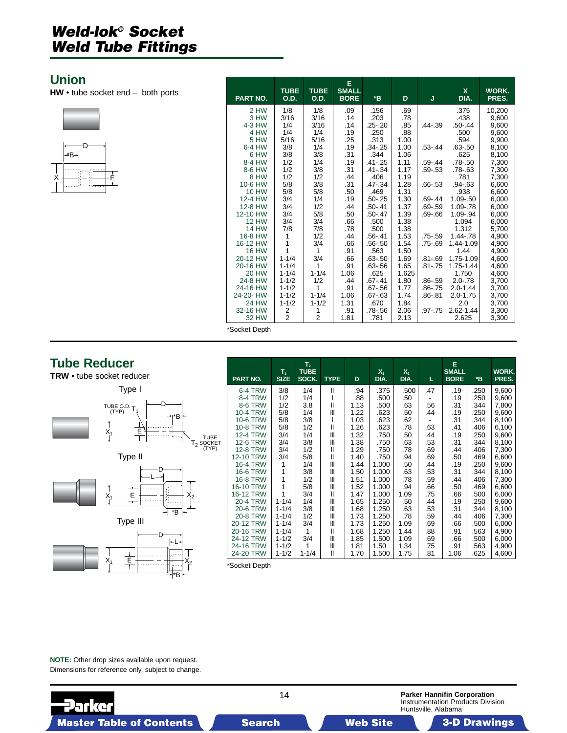### <span id="page-13-0"></span>**Union**

**HW** • tube socket end – both ports



| PART NO.       | <b>TUBE</b><br><b>O.D.</b> | <b>TUBE</b><br>O.D. | Е<br><b>SMALL</b><br><b>BORE</b> | *B                  | D          | J           | X.<br>DIA.          | WORK.<br>PRES. |
|----------------|----------------------------|---------------------|----------------------------------|---------------------|------------|-------------|---------------------|----------------|
|                |                            |                     |                                  |                     |            |             |                     |                |
| 2 HW           | 1/8                        | 1/8                 | .09                              | .156                | .69        |             | .375                | 10,200         |
| 3 HW<br>4-3 HW | 3/16<br>1/4                | 3/16<br>3/16        | .14<br>.14                       | .203<br>$.25 - .20$ | .78<br>.85 | .44-.39     | .438<br>$.50 - .44$ | 9.600          |
| 4 HW           | 1/4                        | 1/4                 | .19                              | .250                | .88        |             | .500                | 9,600<br>9,600 |
| 5 HW           | 5/16                       | 5/16                | .25                              | .313                | 1.00       |             | .594                | 9,900          |
| 6-4 HW         | 3/8                        | 1/4                 | .19                              | $.34 - .25$         | 1.00       | $.53 - .44$ | $.63 - .50$         | 8,100          |
| 6 HW           | 3/8                        | 3/8                 | .31                              | .344                | 1.06       |             | .625                | 8,100          |
| 8-4 HW         | 1/2                        | 1/4                 | .19                              | $.41 - .25$         | 1.11       | $.59 - .44$ | .78-.50             | 7,300          |
| 8-6 HW         | 1/2                        | 3/8                 | .31                              | $.41 - .34$         | 1.17       | $.59 - .53$ | .78-.63             | 7,300          |
| 8 HW           | 1/2                        | 1/2                 | .44                              | .406                | 1.19       |             | .781                | 7,300          |
| 10-6 HW        | 5/8                        | 3/8                 | .31                              | $.47 - .34$         | 1.28       | $.66 - .53$ | .94-.63             | 6,600          |
| <b>10 HW</b>   | 5/8                        | 5/8                 | .50                              | .469                | 1.31       |             | .938                | 6,600          |
| 12-4 HW        | 3/4                        | 1/4                 | .19                              | $.50 - .25$         | 1.30       | $.69 - .44$ | 1.09-.50            | 6,000          |
| 12-8 HW        | 3/4                        | 1/2                 | .44                              | $.50 - .41$         | 1.37       | .69-.59     | 1.09-.78            | 6,000          |
| 12-10 HW       | 3/4                        | 5/8                 | .50                              | $.50 - .47$         | 1.39       | .69-.66     | 1.09-.94            | 6,000          |
| <b>12 HW</b>   | 3/4                        | 3/4                 | .66                              | .500                | 1.38       |             | 1.094               | 6,000          |
| <b>14 HW</b>   | 7/8                        | 7/8                 | .78                              | .500                | 1.38       |             | 1.312               | 5.700          |
| 16-8 HW        | 1                          | 1/2                 | .44                              | $.56 - .41$         | 1.53       | .75-.59     | 1.44-.78            | 4,900          |
| 16-12 HW       | 1                          | 3/4                 | .66                              | .56-.50             | 1.54       | .75-.69     | 1.44-1.09           | 4,900          |
| <b>16 HW</b>   | 1                          | 1                   | .91                              | .563                | 1.50       |             | 1.44                | 4,900          |
| 20-12 HW       | $1 - 1/4$                  | 3/4                 | .66                              | $.63 - .50$         | 1.69       | .81-.69     | 1.75-1.09           | 4,600          |
| 20-16 HW       | $1 - 1/4$                  | 1                   | .91                              | .63-.56             | 1.65       | .81-.75     | 1.75-1.44           | 4,600          |
| <b>20 HW</b>   | $1 - 1/4$                  | $1 - 1/4$           | 1.06                             | .625                | 1.625      |             | 1.750               | 4.600          |
| 24-8 HW        | $1 - 1/2$                  | 1/2                 | .44                              | $.67 - .41$         | 1.80       | $.86 - .59$ | $2.0 - .78$         | 3,700          |
| 24-16 HW       | $1 - 1/2$                  | 1                   | .91                              | .67-.56             | 1.77       | $.86 - .75$ | $2.0 - 1.44$        | 3,700          |
| 24-20- HW      | $1 - 1/2$                  | $1 - 1/4$           | 1.06                             | .67-.63             | 1.74       | .86-.81     | $2.0 - 1.75$        | 3,700          |
| 24 HW          | $1 - 1/2$                  | $1 - 1/2$           | 1.31                             | .670                | 1.84       |             | 2.0                 | 3,700          |
| 32-16 HW       | 2                          | 1                   | .91                              | .78-.56             | 2.06       | $.97 - .75$ | 2.62-1.44           | 3,300          |
| 32 HW          | $\overline{2}$             | $\overline{2}$      | 1.81                             | .781                | 2.13       |             | 2.625               | 3,300          |

\*Socket Depth

### **Tube Reducer**

**TRW** • tube socket reducer





\*B

| PART NO.        | $T_{1}$<br><b>SIZE</b> | T <sub>2</sub><br><b>TUBE</b><br>SOCK. | <b>TYPE</b>  | D    | $X_1$<br>DIA. | $X_{2}$<br>DIA. | L   | E.<br><b>SMALL</b><br><b>BORE</b> | *B   | WORK.<br>PRES. |
|-----------------|------------------------|----------------------------------------|--------------|------|---------------|-----------------|-----|-----------------------------------|------|----------------|
| 6-4 TRW         | 3/8                    | 1/4                                    | Ш            | .94  | .375          | .500            | .47 | .19                               | .250 | 9,600          |
| 8-4 TRW         | 1/2                    | 1/4                                    |              | .88  | .500          | .50             |     | .19                               | .250 | 9,600          |
| <b>8-6 TRW</b>  | 1/2                    | 3.8                                    | $\mathsf{I}$ | 1.13 | .500          | .63             | .56 | .31                               | .344 | 7,800          |
| 10-4 TRW        | 5/8                    | 1/4                                    | Ш            | 1.22 | .623          | .50             | .44 | .19                               | .250 | 9,600          |
| <b>10-6 TRW</b> | 5/8                    | 3/8                                    |              | 1.03 | .623          | .62             |     | .31                               | .344 | 8,100          |
| 10-8 TRW        | 5/8                    | 1/2                                    | Ш            | 1.26 | .623          | .78             | .63 | .41                               | .406 | 6,100          |
| <b>12-4 TRW</b> | 3/4                    | 1/4                                    | Ш            | 1.32 | .750          | .50             | .44 | .19                               | .250 | 9,600          |
| <b>12-6 TRW</b> | 3/4                    | 3/8                                    | Ш            | 1.38 | .750          | .63             | .53 | .31                               | .344 | 8,100          |
| <b>12-8 TRW</b> | 3/4                    | 1/2                                    | $\mathbf{I}$ | 1.29 | .750          | .78             | .69 | .44                               | .406 | 7,300          |
| 12-10 TRW       | 3/4                    | 5/8                                    | Ш            | 1.40 | .750          | .94             | .69 | .50                               | .469 | 6,600          |
| <b>16-4 TRW</b> | 1                      | 1/4                                    | Ш            | 1.44 | 1.000         | .50             | .44 | .19                               | .250 | 9,600          |
| <b>16-6 TRW</b> | 1                      | 3/8                                    | Ш            | 1.50 | 1.000         | .63             | .53 | .31                               | .344 | 8,100          |
| 16-8 TRW        | 1                      | 1/2                                    | Ш            | 1.51 | 1.000         | .78             | .59 | .44                               | .406 | 7,300          |
| 16-10 TRW       | 1                      | 5/8                                    | Ш            | 1.52 | 1.000         | .94             | .66 | .50                               | .469 | 6,600          |
| 16-12 TRW       | 1                      | 3/4                                    | $\mathbf{I}$ | 1.47 | 1.000         | 1.09            | .75 | .66                               | .500 | 6,000          |
| <b>20-4 TRW</b> | $1 - 1/4$              | 1/4                                    | Ш            | 1.65 | 1.250         | .50             | .44 | .19                               | .250 | 9,600          |
| <b>20-6 TRW</b> | $1 - 1/4$              | 3/8                                    | Ш            | 1.68 | 1.250         | .63             | .53 | .31                               | .344 | 8,100          |
| 20-8 TRW        | $1 - 1/4$              | 1/2                                    | Ш            | 1.73 | 1.250         | .78             | .59 | .44                               | .406 | 7,300          |
| 20-12 TRW       | $1 - 1/4$              | 3/4                                    | Ш            | 1.73 | 1.250         | 1.09            | .69 | .66                               | .500 | 6,000          |
| 20-16 TRW       | $1 - 1/4$              | 1                                      | Ш            | 1.68 | 1.250         | 1.44            | .88 | .91                               | .563 | 4,900          |
| 24-12 TRW       | $1 - 1/2$              | 3/4                                    | Ш            | 1.85 | 1.500         | 1.09            | .69 | .66                               | .500 | 6,000          |
| 24-16 TRW       | $1 - 1/2$              | 1                                      | Ш            | 1.81 | 1.50          | 1.34            | .75 | .91                               | .563 | 4,900          |
| 24-20 TRW       | $1 - 1/2$              | $1 - 1/4$                              | Ш            | 1.70 | 1.500         | 1.75            | .81 | 1.06                              | .625 | 4,600          |

\*Socket Depth

**NOTE:** Other drop sizes available upon request. Dimensions for reference only, subject to change.

14 **Parker Hannifin Corporation** Instrumentation Products Division **Parke** Huntsville, Alabama Master Table of Contents **3. Dearch Master Table of Contents 3-D Drawings 3-D Drawings 3-D Drawings 3-D Drawings**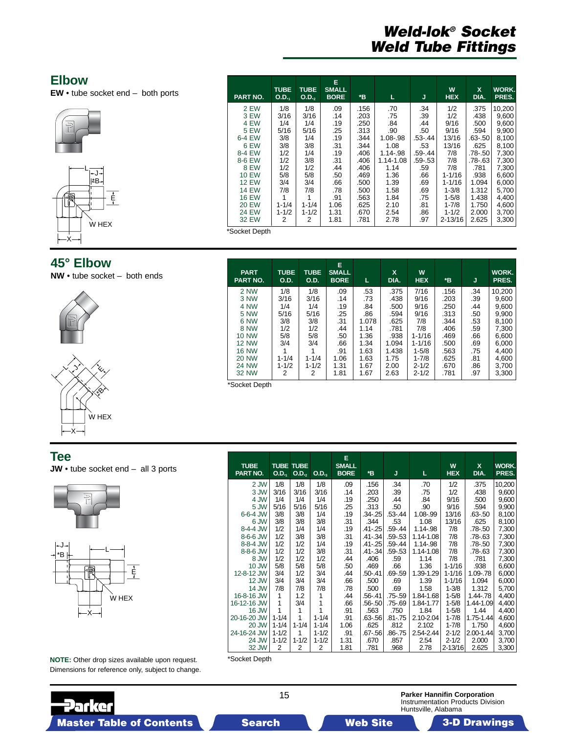### <span id="page-14-0"></span>**Elbow**

**EW** • tube socket end – both ports





### **45° Elbow**

**NW** • tube socket – both ends



| 3 EW          | 3/16        | 3/16        | .14          | .203 | .75         | .39         | 1/2        | .438    | 9,600  |
|---------------|-------------|-------------|--------------|------|-------------|-------------|------------|---------|--------|
| 4 EW          | 1/4         | 1/4         | .19          | .250 | .84         | .44         | 9/16       | .500    | 9,600  |
| 5 EW          | 5/16        | 5/16        | .25          | .313 | .90         | .50         | 9/16       | .594    | 9,900  |
| 6-4 EW        | 3/8         | 1/4         | .19          | .344 | 1.08-.98    | $.53 - .44$ | 13/16      | .63-.50 | 8,100  |
| 6 EW          | 3/8         | 3/8         | .31          | .344 | 1.08        | .53         | 13/16      | .625    | 8,100  |
| 8-4 EW        | 1/2         | 1/4         | .19          | .406 | 1.14-.98    | .59-.44     | 7/8        | .78-.50 | 7,300  |
| 8-6 EW        | 1/2         | 3/8         | .31          | .406 | 1.14-1.08   | $.59 - .53$ | 7/8        | .78-.63 | 7,300  |
| 8 EW          | 1/2         | 1/2         | .44          | .406 | 1.14        | .59         | 7/8        | .781    | 7,300  |
| <b>10 EW</b>  | 5/8         | 5/8         | .50          | .469 | 1.36        | .66         | 1-1/16     | .938    | 6,600  |
| <b>12 EW</b>  | 3/4         | 3/4         | .66          | .500 | 1.39        | .69         | $1 - 1/16$ | 1.094   | 6,000  |
| <b>14 EW</b>  | 7/8         | 7/8         | .78          | .500 | 1.58        | .69         | $1 - 3/8$  | 1.312   | 5,700  |
| <b>16 EW</b>  | 1           | 1           | .91          | .563 | 1.84        | .75         | $1 - 5/8$  | 1.438   | 4,400  |
| <b>20 EW</b>  | $1 - 1/4$   | $1 - 1/4$   | 1.06         | .625 | 2.10        | .81         | $1 - 7/8$  | 1.750   | 4,600  |
| <b>24 EW</b>  | $1 - 1/2$   | $1 - 1/2$   | 1.31         | .670 | 2.54        | .86         | $1 - 1/2$  | 2.000   | 3,700  |
| 32 EW         | 2           | 2           | 1.81         | .781 | 2.78        | .97         | 2-13/16    | 2.625   | 3,300  |
| *Socket Depth |             |             |              |      |             |             |            |         |        |
|               |             |             |              |      |             |             |            |         |        |
|               |             |             |              |      |             |             |            |         |        |
|               |             |             |              |      |             |             |            |         |        |
|               |             |             | Е            |      |             |             |            |         |        |
| <b>PART</b>   | <b>TUBE</b> | <b>TUBE</b> | <b>SMALL</b> |      | $\mathbf x$ | W           |            |         | WORK.  |
| PART NO.      | <b>O.D.</b> | 0.D.        | <b>BORE</b>  | Е    | DIA.        | <b>HEX</b>  | *B         | IJ      | PRES.  |
| <b>2 NW</b>   | 1/8         | 1/8         | .09          | .53  | .375        | 7/16        | .156       | .34     | 10,200 |
|               |             |             |              |      |             |             |            |         |        |

3 NW | 3/16 | 3/16 | .14 | .73 | .438 | 9/16 | .203 | .39 | 9,600 4 NW | 1/4 | 1/4 | 19 | .84 | .500 | 9/16 | .250 | .44 | 9,600 5 NW | 5/16 | 5/16 | .25 | .86 | .594 | 9/16 | .313 | .50 | 9,900 6 NW | 3/8 | 3/8 | .31 | 1.078 | .625 | 7/8 | .344 | .53 | 8,100 8 NW | 1/2 | 1/2 | 144 | 1.14 | .781 | 7/8 | .406 | .59 | 7,300 10 NW | 5/8 | 5/8 | .50 | 1.36 | .938 | 1-1/16 | .469 | .66 | 6,600 12 NW | 3/4 | 3/4 | .66 | 1.34 | 1.094 | 1-1/16 | .500 | .69 | 6,000 16 NW | 1 | 1 | .91 | 1.63 | 1.438 | 1-5/8 | .563 | .75 | 4,400 20 NW | 1-1/4 | 1-1/4 | 1.06 | 1.63 | 1.75 | 1-7/8 | .625 | .81 | 4,600 24 NW | 1-1/2 | 1-1/2 | 1.31 | 1.67 | 2.00 | 2-1/2 | .670 | .86 | 3,700 32 NW | 2 | 2 | 1.81 | 1.67 | 2.63 | 2-1/2 | .781 | .97 | 3,300

**TUBE TUBE SMALL W X WORK.**

**PART NO. O.D.1 O.D.2 BORE \*B L J HEX DIA. PRES.** 2 EW 1/8 1/8 .09 .156 .70 .34 1/2 .375 10,200

E<br>SMALL<br>BORE

\*Socket Depth

|  | $\sim$<br>v<br>× | $\overline{\phantom{a}}$ | P.<br>$\sim$ |  |
|--|------------------|--------------------------|--------------|--|
|  |                  |                          |              |  |

**JW** • tube socket end – all 3 ports





arker

| <b>TUBE</b><br>PART NO. | O.D.,          | <b>TUBE TUBE</b><br>O.D. <sub>2</sub> | $O.D_{-3}$ | E.<br><b>SMALL</b><br><b>BORE</b> | *B          | J           | L         | W<br><b>HEX</b> | <b>X</b><br>DIA. | <b>WORK.</b><br>PRES. |
|-------------------------|----------------|---------------------------------------|------------|-----------------------------------|-------------|-------------|-----------|-----------------|------------------|-----------------------|
| 2 JW                    | 1/8            | 1/8                                   | 1/8        | .09                               | .156        | .34         | .70       | 1/2             | .375             | 10,200                |
| 3 JW                    | 3/16           | 3/16                                  | 3/16       | .14                               | .203        | .39         | .75       | 1/2             | .438             | 9,600                 |
| 4 JW                    | 1/4            | 1/4                                   | 1/4        | .19                               | .250        | .44         | .84       | 9/16            | .500             | 9,600                 |
| 5 JW                    | 5/16           | 5/16                                  | 5/16       | .25                               | .313        | .50         | .90       | 9/16            | .594             | 9,900                 |
| 6-6-4 JW                | 3/8            | 3/8                                   | 1/4        | .19                               | .34-.25     | $.53 - .44$ | 1.08-.99  | 13/16           | .63-.50          | 8,100                 |
| 6 JW                    | 3/8            | 3/8                                   | 3/8        | .31                               | .344        | .53         | 1.08      | 13/16           | .625             | 8,100                 |
| 8-4-4 JW                | 1/2            | 1/4                                   | 1/4        | .19                               | .41-.25     | .59-.44     | 1.14-.98  | 7/8             | .78-.50          | 7,300                 |
| 8-6-6 JW                | 1/2            | 3/8                                   | 3/8        | .31                               | .41-.34     | .59-.53     | 1.14-1.08 | 7/8             | .78-.63          | 7,300                 |
| 8-8-4 JW                | 1/2            | 1/2                                   | 1/4        | .19                               | .41-.25     | .59-.44     | 1.14-.98  | 7/8             | .78-.50          | 7,300                 |
| 8-8-6 JW                | 1/2            | 1/2                                   | 3/8        | .31                               | .41-.34     | .59-.53     | 1.14-1.08 | 7/8             | .78-.63          | 7,300                 |
| WL8                     | 1/2            | 1/2                                   | 1/2        | .44                               | .406        | .59         | 1.14      | 7/8             | .781             | 7,300                 |
| 10 JW                   | 5/8            | 5/8                                   | 5/8        | .50                               | .469        | .66         | 1.36      | $1 - 1/16$      | .938             | 6,600                 |
| 12-8-12 JW              | 3/4            | 1/2                                   | 3/4        | .44                               | $.50 - .41$ | .69-.59     | 1.39-1.29 | $1 - 1/16$      | 1.09-.78         | 6,000                 |
| 12 JW                   | 3/4            | 3/4                                   | 3/4        | .66                               | .500        | .69         | 1.39      | $1 - 1/16$      | 1.094            | 6,000                 |
| 14 JW                   | 7/8            | 7/8                                   | 7/8        | .78                               | .500        | .69         | 1.58      | $1 - 3/8$       | 1.312            | 5,700                 |
| 16-8-16 JW              | 1              | 1.2                                   | 1          | .44                               | .56-.41     | .75-.59     | 1.84-1.68 | $1 - 5/8$       | 1.44-.78         | 4,400                 |
| 16-12-16 JW             | 1              | 3/4                                   | 1          | .66                               | .56-.50     | .75-.69     | 1.84-1.77 | $1 - 5/8$       | 1.44-1.09        | 4,400                 |
| 16 JW                   | 1              | 1                                     | 1          | .91                               | .563        | .750        | 1.84      | $1 - 5/8$       | 1.44             | 4,400                 |
| 20-16-20 JW             | $1 - 1/4$      | 1                                     | $1 - 1/4$  | .91                               | .63-.56     | $.81 - .75$ | 2.10-2.04 | $1 - 7/8$       | 1.75-1.44        | 4,600                 |
| 20 JW                   | $1 - 1/4$      | $1 - 1/4$                             | $1 - 1/4$  | 1.06                              | .625        | .812        | 2.102     | $1 - 7/8$       | 1.750            | 4,600                 |
| 24-16-24 JW             | $1 - 1/2$      | 1                                     | $1 - 1/2$  | .91                               | .67-.56     | $.86 - .75$ | 2.54-2.44 | $2 - 1/2$       | 2.00-1.44        | 3,700                 |
| 24 JW                   | $1 - 1/2$      | $1 - 1/2$                             | $1 - 1/2$  | 1.31                              | .670        | .857        | 2.54      | $2 - 1/2$       | 2.000            | 3,700                 |
| 32 JW                   | $\overline{2}$ | 2                                     | 2          | 1.81                              | .781        | .968        | 2.78      | $2 - 13/16$     | 2.625            | 3,300                 |

**NOTE:** Other drop sizes available upon request. Dimensions for reference only, subject to change. \*Socket Depth

**Parker Hannifin Corporation** Instrumentation Products Division

15

Huntsville, Alabama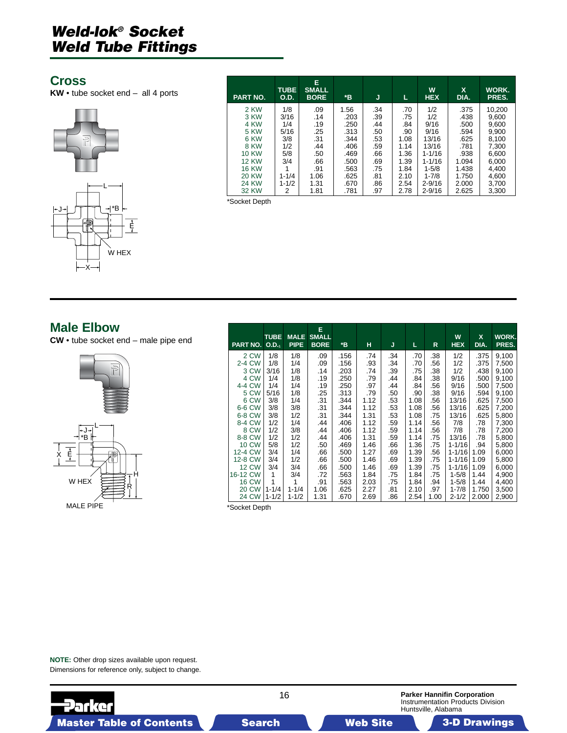### <span id="page-15-0"></span>**Cross**

**KW** • tube socket end – all 4 ports



| <b>PART NO.</b> | <b>TUBE</b><br><b>O.D.</b> | Е<br><b>SMALL</b><br><b>BORE</b> | *B   | J   | L    | W<br><b>HEX</b> | X<br>DIA. | WORK.<br>PRES. |
|-----------------|----------------------------|----------------------------------|------|-----|------|-----------------|-----------|----------------|
| 2 KW            | 1/8                        | .09                              | 1.56 | .34 | .70  | 1/2             | .375      | 10,200         |
| 3 KW            | 3/16                       | .14                              | .203 | .39 | .75  | 1/2             | .438      | 9,600          |
| 4 KW            | 1/4                        | .19                              | .250 | .44 | .84  | 9/16            | .500      | 9,600          |
| <b>5 KW</b>     | 5/16                       | .25                              | .313 | .50 | .90  | 9/16            | .594      | 9,900          |
| 6 KW            | 3/8                        | .31                              | .344 | .53 | 1.08 | 13/16           | .625      | 8,100          |
| 8 KW            | 1/2                        | .44                              | .406 | .59 | 1.14 | 13/16           | .781      | 7,300          |
| <b>10 KW</b>    | 5/8                        | .50                              | .469 | .66 | 1.36 | $1 - 1/16$      | .938      | 6,600          |
| <b>12 KW</b>    | 3/4                        | .66                              | .500 | .69 | 1.39 | $1 - 1/16$      | 1.094     | 6,000          |
| <b>16 KW</b>    |                            | .91                              | .563 | .75 | 1.84 | $1 - 5/8$       | 1.438     | 4,400          |
| 20 KW           | $1 - 1/4$                  | 1.06                             | .625 | .81 | 2.10 | $1 - 7/8$       | 1.750     | 4,600          |
| 24 KW           | $1 - 1/2$                  | 1.31                             | .670 | .86 | 2.54 | $2 - 9/16$      | 2.000     | 3,700          |
| 32 KW           | 2                          | 1.81                             | .781 | .97 | 2.78 | $2 - 9/16$      | 2.625     | 3,300          |

\*Socket Depth

### **Male Elbow**

**CW** • tube socket end – male pipe end



| <b>PART NO.</b> | <b>TUBE</b><br>$O.D-1$ | <b>MALE</b><br><b>PIPE</b> | Е<br><b>SMALL</b><br><b>BORE</b> | *B   | н    | J   | L.   | R    | W<br><b>HEX</b> | $\mathbf{x}$<br>DIA. | WORK.<br>PRES. |
|-----------------|------------------------|----------------------------|----------------------------------|------|------|-----|------|------|-----------------|----------------------|----------------|
| 2 CW            | 1/8                    | 1/8                        | .09                              | .156 | .74  | .34 | .70  | .38  | 1/2             | .375                 | 9,100          |
| 2-4 CW          | 1/8                    | 1/4                        | .09                              | .156 | .93  | .34 | .70  | .56  | 1/2             | .375                 | 7,500          |
| 3 CW            | 3/16                   | 1/8                        | .14                              | .203 | .74  | .39 | .75  | .38  | 1/2             | .438                 | 9,100          |
| 4 CW            | 1/4                    | 1/8                        | .19                              | .250 | .79  | .44 | .84  | .38  | 9/16            | .500                 | 9,100          |
| 4-4 CW          | 1/4                    | 1/4                        | .19                              | .250 | .97  | .44 | .84  | .56  | 9/16            | .500                 | 7,500          |
| 5 CW            | 5/16                   | 1/8                        | .25                              | .313 | .79  | .50 | .90  | .38  | 9/16            | .594                 | 9,100          |
| 6 CW            | 3/8                    | 1/4                        | .31                              | .344 | 1.12 | .53 | 1.08 | .56  | 13/16           | .625                 | 7,500          |
| 6-6 CW          | 3/8                    | 3/8                        | .31                              | .344 | 1.12 | .53 | 1.08 | .56  | 13/16           | .625                 | 7,200          |
| 6-8 CW          | 3/8                    | 1/2                        | .31                              | .344 | 1.31 | .53 | 1.08 | .75  | 13/16           | .625                 | 5,800          |
| 8-4 CW          | 1/2                    | 1/4                        | .44                              | .406 | 1.12 | .59 | 1.14 | .56  | 7/8             | .78                  | 7,300          |
| 8 CW            | 1/2                    | 3/8                        | .44                              | .406 | 1.12 | .59 | 1.14 | .56  | 7/8             | .78                  | 7,200          |
| 8-8 CW          | 1/2                    | 1/2                        | .44                              | .406 | 1.31 | .59 | 1.14 | .75  | 13/16           | .78                  | 5,800          |
| <b>10 CW</b>    | 5/8                    | 1/2                        | .50                              | .469 | 1.46 | .66 | 1.36 | .75  | $1 - 1/16$      | .94                  | 5,800          |
| 12-4 CW         | 3/4                    | 1/4                        | .66                              | .500 | 1.27 | .69 | 1.39 | .56  | $1 - 1/16$      | 1.09                 | 6,000          |
| 12-8 CW         | 3/4                    | 1/2                        | .66                              | .500 | 1.46 | .69 | 1.39 | .75  | $1 - 1/16$      | 1.09                 | 5,800          |
| <b>12 CW</b>    | 3/4                    | 3/4                        | .66                              | .500 | 1.46 | .69 | 1.39 | .75  | $1 - 1/16$      | 1.09                 | 6,000          |
| 16-12 CW        | 1                      | 3/4                        | .72                              | .563 | 1.84 | .75 | 1.84 | .75  | $1 - 5/8$       | 1.44                 | 4,900          |
| <b>16 CW</b>    | 1                      | 1                          | .91                              | .563 | 2.03 | .75 | 1.84 | .94  | $1 - 5/8$       | 1.44                 | 4,400          |
| 20 CW           | $1 - 1/4$              | $1 - 1/4$                  | 1.06                             | .625 | 2.27 | .81 | 2.10 | .97  | $1 - 7/8$       | 1.750                | 3,500          |
| 24 CW           | $1 - 1/2$              | $1 - 1/2$                  | 1.31                             | .670 | 2.69 | .86 | 2.54 | 1.00 | $2 - 1/2$       | 2.000                | 2,900          |

\*Socket Depth

**NOTE:** Other drop sizes available upon request. Dimensions for reference only, subject to change.

16 **Parker Hannifin Corporation Parker** Instrumentation Products Division Huntsville, Alabama Master Table of Contents Search Web Site 3-D Drawings Search Master Table of Contents 3-D Drawings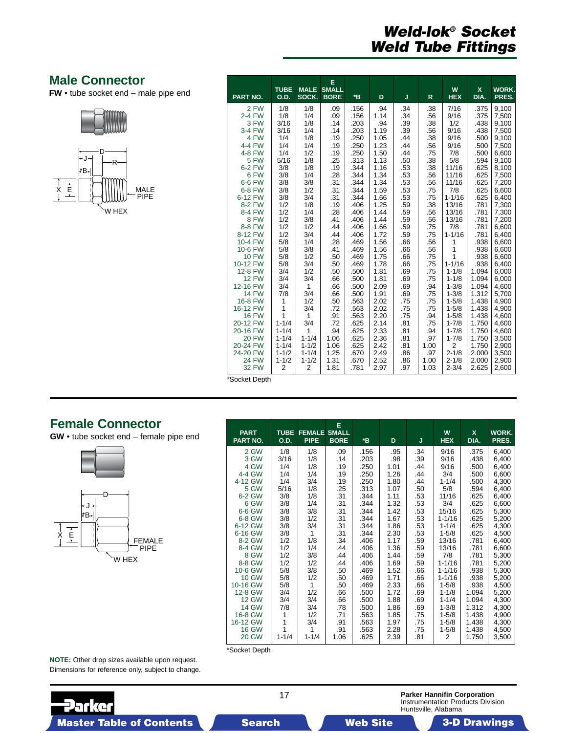### <span id="page-16-0"></span>**Male Connector**

**FW** • tube socket end – male pipe end





| PART NO.     | <b>TUBE</b><br>O.D. | <b>MALE</b><br>SOCK. | E<br><b>SMALL</b><br><b>BORE</b> | $\boldsymbol{B}$ | D    | J   | $\mathsf{R}$ | W<br><b>HEX</b> | X<br>DIA. | <b>WORK.</b><br>PRES. |
|--------------|---------------------|----------------------|----------------------------------|------------------|------|-----|--------------|-----------------|-----------|-----------------------|
| 2 FW         | 1/8                 | 1/8                  | .09                              | .156             | .94  | .34 | .38          | 7/16            | .375      | 9,100                 |
| 2-4 FW       | 1/8                 | 1/4                  | .09                              | .156             | 1.14 | .34 | .56          | 9/16            | .375      | 7,500                 |
| 3 FW         | 3/16                | 1/8                  | .14                              | .203             | .94  | .39 | .38          | 1/2             | .438      | 9,100                 |
| 3-4 FW       | 3/16                | 1/4                  | .14                              | .203             | 1.19 | .39 | .56          | 9/16            | .438      | 7,500                 |
| 4 FW         | 1/4                 | 1/8                  | .19                              | .250             | 1.05 | .44 | .38          | 9/16            | .500      | 9,100                 |
| 4-4 FW       | 1/4                 | 1/4                  | .19                              | .250             | 1.23 | .44 | .56          | 9/16            | .500      | 7,500                 |
| 4-8 FW       | 1/4                 | 1/2                  | .19                              | .250             | 1.50 | .44 | .75          | 7/8             | .500      | 6,600                 |
| 5 FW         | 5/16                | 1/8                  | .25                              | .313             | 1.13 | .50 | .38          | 5/8             | .594      | 9,100                 |
| 6-2 FW       | 3/8                 | 1/8                  | .19                              | .344             | 1.16 | .53 | .38          | 11/16           | .625      | 8,100                 |
| 6 FW         | 3/8                 | 1/4                  | .28                              | .344             | 1.34 | .53 | .56          | 11/16           | .625      | 7,500                 |
| 6-6 FW       | 3/8                 | 3/8                  | .31                              | .344             | 1.34 | .53 | .56          | 11/16           | .625      | 7,200                 |
| 6-8 FW       | 3/8                 | 1/2                  | .31                              | .344             | 1.59 | .53 | .75          | 7/8             | .625      | 6,600                 |
| 6-12 FW      | 3/8                 | 3/4                  | .31                              | .344             | 1.66 | .53 | .75          | $1 - 1/16$      | .625      | 6,400                 |
| 8-2 FW       | 1/2                 | 1/8                  | .19                              | .406             | 1.25 | .59 | .38          | 13/16           | .781      | 7,300                 |
| 8-4 FW       | 1/2                 | 1/4                  | .28                              | .406             | 1.44 | .59 | .56          | 13/16           | .781      | 7,300                 |
| 8 FW         | 1/2                 | 3/8                  | .41                              | .406             | 1.44 | .59 | .56          | 13/16           | .781      | 7,200                 |
| 8-8 FW       | 1/2                 | 1/2                  | .44                              | .406             | 1.66 | .59 | .75          | 7/8             | .781      | 6,600                 |
| 8-12 FW      | 1/2                 | 3/4                  | .44                              | .406             | 1.72 | .59 | .75          | $1 - 1/16$      | .781      | 6,400                 |
| 10-4 FW      | 5/8                 | 1/4                  | .28                              | .469             | 1.56 | .66 | .56          | 1               | .938      | 6,600                 |
| 10-6 FW      | 5/8                 | 3/8                  | .41                              | .469             | 1.56 | .66 | .56          | 1               | .938      | 6.600                 |
| <b>10 FW</b> | 5/8                 | 1/2                  | .50                              | .469             | 1.75 | .66 | .75          | 1               | .938      | 6,600                 |
| 10-12 FW     | 5/8                 | 3/4                  | .50                              | .469             | 1.78 | .66 | .75          | $1 - 1/16$      | .938      | 6,400                 |
| 12-8 FW      | 3/4                 | 1/2                  | .50                              | .500             | 1.81 | .69 | .75          | $1 - 1/8$       | 1.094     | 6,000                 |
| <b>12 FW</b> | 3/4                 | 3/4                  | .66                              | .500             | 1.81 | .69 | .75          | $1 - 1/8$       | 1.094     | 6,000                 |
| 12-16 FW     | 3/4                 | 1                    | .66                              | .500             | 2.09 | .69 | .94          | $1 - 3/8$       | 1.094     | 4,600                 |
| <b>14 FW</b> | 7/8                 | 3/4                  | .66                              | .500             | 1.91 | .69 | .75          | $1 - 3/8$       | 1.312     | 5,700                 |
| 16-8 FW      | 1                   | 1/2                  | .50                              | .563             | 2.02 | .75 | .75          | $1 - 5/8$       | 1.438     | 4,900                 |
| 16-12 FW     | 1                   | 3/4                  | .72                              | .563             | 2.02 | .75 | .75          | $1 - 5/8$       | 1.438     | 4,900                 |
| <b>16 FW</b> | 1                   | $\mathbf{1}$         | .91                              | .563             | 2.20 | .75 | .94          | $1 - 5/8$       | 1.438     | 4,600                 |
| 20-12 FW     | $1 - 1/4$           | 3/4                  | .72                              | .625             | 2.14 | .81 | .75          | $1 - 7/8$       | 1.750     | 4,600                 |
| 20-16 FW     | $1 - 1/4$           | 1                    | .94                              | .625             | 2.33 | .81 | .94          | $1 - 7/8$       | 1.750     | 4,600                 |
| <b>20 FW</b> | $1 - 1/4$           | $1 - 1/4$            | 1.06                             | .625             | 2.36 | .81 | .97          | $1 - 7/8$       | 1.750     | 3,500                 |
| 20-24 FW     | $1 - 1/4$           | $1 - 1/2$            | 1.06                             | .625             | 2.42 | .81 | 1.00         | $\overline{2}$  | 1.750     | 2,900                 |
| 24-20 FW     | $1 - 1/2$           | $1 - 1/4$            | 1.25                             | .670             | 2.49 | .86 | .97          | $2 - 1/8$       | 2.000     | 3,500                 |
| <b>24 FW</b> | $1 - 1/2$           | $1 - 1/2$            | 1.31                             | .670             | 2.52 | .86 | 1.00         | $2 - 1/8$       | 2.000     | 2,900                 |
| <b>32 FW</b> | $\overline{2}$      | $\overline{2}$       | 1.81                             | .781             | 2.97 | .97 | 1.03         | $2 - 3/4$       | 2.625     | 2,600                 |

\*Socket Depth

### **Female Connector**

**GW** • tube socket end – female pipe end



| <b>PART</b><br>PART NO. | <b>TUBE</b><br><b>O.D.</b> | <b>FEMALE</b><br><b>PIPE</b> | E<br><b>SMALL</b><br><b>BORE</b> | *B           | D            | J          | W<br><b>HEX</b>         | $\mathsf{x}$<br>DIA. | WORK.<br>PRES. |
|-------------------------|----------------------------|------------------------------|----------------------------------|--------------|--------------|------------|-------------------------|----------------------|----------------|
| 2 GW                    | 1/8                        | 1/8                          | .09                              | .156         | .95          | .34        | 9/16                    | .375                 | 6,400          |
| 3 GW                    | 3/16                       | 1/8                          | .14                              | .203         | .98          | .39        | 9/16                    | .438                 | 6,400          |
| 4 GW                    | 1/4                        | 1/8                          | .19                              | .250         | 1.01         | .44        | 9/16                    | .500                 | 6,400          |
| 4-4 GW                  | 1/4                        | 1/4                          | .19                              | .250         | 1.26         | .44        | 3/4                     | .500                 | 6,600          |
| 4-12 GW                 | 1/4                        | 3/4                          | .19                              | .250         | 1.80         | .44        | $1 - 1/4$               | .500                 | 4,300          |
| 5 GW                    | 5/16                       | 1/8                          | .25                              | .313         | 1.07         | .50        | 5/8                     | .594                 | 6,400          |
| 6-2 GW                  | 3/8                        | 1/8                          | .31                              | .344         | 1.11         | .53        | 11/16                   | .625                 | 6,400          |
| 6 GW                    | 3/8                        | 1/4                          | .31                              | .344         | 1.32         | .53        | 3/4                     | .625                 | 6,600          |
| 6-6 GW                  | 3/8                        | 3/8                          | .31                              | .344         | 1.42<br>1.67 | .53        | 15/16                   | .625                 | 5,300          |
| 6-8 GW<br>6-12 GW       | 3/8<br>3/8                 | 1/2<br>3/4                   | .31<br>.31                       | .344<br>.344 | 1.86         | .53<br>.53 | $1 - 1/16$<br>$1 - 1/4$ | .625<br>.625         | 5,200<br>4,300 |
| 6-16 GW                 | 3/8                        | 1                            | .31                              | .344         | 2.30         | .53        | $1 - 5/8$               | .625                 | 4,500          |
| 8-2 GW                  | 1/2                        | 1/8                          | .34                              | .406         | 1.17         | .59        | 13/16                   | .781                 | 6,400          |
| 8-4 GW                  | 1/2                        | 1/4                          | .44                              | .406         | 1.36         | .59        | 13/16                   | .781                 | 6,600          |
| 8 GW                    | 1/2                        | 3/8                          | .44                              | .406         | 1.44         | .59        | 7/8                     | .781                 | 5,300          |
| 8-8 GW                  | 1/2                        | 1/2                          | .44                              | .406         | 1.69         | .59        | $1 - 1/16$              | .781                 | 5,200          |
| 10-6 GW                 | 5/8                        | 3/8                          | .50                              | .469         | 1.52         | .66        | $1 - 1/16$              | .938                 | 5,300          |
| <b>10 GW</b>            | 5/8                        | 1/2                          | .50                              | .469         | 1.71         | .66        | $1 - 1/16$              | .938                 | 5,200          |
| 10-16 GW                | 5/8                        | 1                            | .50                              | .469         | 2.33         | .66        | $1 - 5/8$               | .938                 | 4,500          |
| 12-8 GW                 | 3/4                        | 1/2                          | .66                              | .500         | 1.72         | .69        | $1 - 1/8$               | 1.094                | 5,200          |
| <b>12 GW</b>            | 3/4                        | 3/4                          | .66                              | .500         | 1.88         | .69        | $1 - 1/4$               | 1.094                | 4,300          |
| <b>14 GW</b>            | 7/8                        | 3/4                          | .78                              | .500         | 1.86         | .69        | $1 - 3/8$               | 1.312                | 4,300          |
| 16-8 GW                 | 1                          | 1/2                          | .71                              | .563         | 1.85         | .75        | $1 - 5/8$               | 1.438                | 4,900          |
| 16-12 GW                | 1                          | 3/4                          | .91                              | .563         | 1.97         | .75        | $1 - 5/8$               | 1.438                | 4,300          |
| <b>16 GW</b>            | 1                          | 1                            | .91                              | .563         | 2.28         | .75        | $1 - 5/8$               | 1.438                | 4,500          |
| <b>20 GW</b>            | $1 - 1/4$                  | $1 - 1/4$                    | 1.06                             | .625         | 2.39         | .81        | $\overline{2}$          | 1.750                | 3,500          |

\*Socket Depth

**NOTE:** Other drop sizes available upon request. Dimensions for reference only, subject to change.

**Parker** 

#### **Parker Hannifin Corporation** Instrumentation Products Division Huntsville, Alabama

17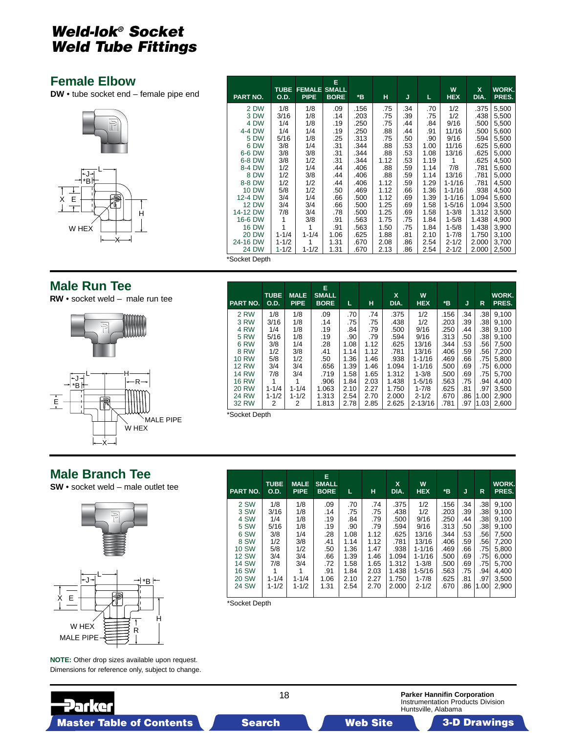### <span id="page-17-0"></span>**Female Elbow**

**DW** • tube socket end – female pipe end



| PART NO.     | <b>TUBE</b><br>O.D. | <b>FEMALE</b><br><b>PIPE</b> | Е<br><b>SMALL</b><br><b>BORE</b> | *B   | н    | J   | L    | W<br><b>HEX</b> | $\mathbf{x}$<br>DIA. | WORK.<br>PRES. |
|--------------|---------------------|------------------------------|----------------------------------|------|------|-----|------|-----------------|----------------------|----------------|
| 2 DW         | 1/8                 | 1/8                          | .09                              | .156 | .75  | .34 | .70  | 1/2             | .375                 | 5,500          |
| 3 DW         | 3/16                | 1/8                          | .14                              | .203 | .75  | .39 | .75  | 1/2             | .438                 | 5,500          |
| 4 DW         | 1/4                 | 1/8                          | .19                              | .250 | .75  | .44 | .84  | 9/16            | .500                 | 5,500          |
| 4-4 DW       | 1/4                 | 1/4                          | .19                              | .250 | .88  | .44 | .91  | 11/16           | .500                 | 5,600          |
| 5 DW         | 5/16                | 1/8                          | .25                              | .313 | .75  | .50 | .90  | 9/16            | .594                 | 5,500          |
| 6 DW         | 3/8                 | 1/4                          | .31                              | .344 | .88  | .53 | 1.00 | 11/16           | .625                 | 5,600          |
| 6-6 DW       | 3/8                 | 3/8                          | .31                              | .344 | .88  | .53 | 1.08 | 13/16           | .625                 | 5,000          |
| 6-8 DW       | 3/8                 | 1/2                          | .31                              | .344 | 1.12 | .53 | 1.19 | 1               | .625                 | 4,500          |
| 8-4 DW       | 1/2                 | 1/4                          | .44                              | .406 | .88  | .59 | 1.14 | 7/8             | .781                 | 5,600          |
| 8 DW         | 1/2                 | 3/8                          | .44                              | .406 | .88  | .59 | 1.14 | 13/16           | .781                 | 5,000          |
| 8-8 DW       | 1/2                 | 1/2                          | .44                              | .406 | 1.12 | .59 | 1.29 | $1 - 1/16$      | .781                 | 4,500          |
| <b>10 DW</b> | 5/8                 | 1/2                          | .50                              | .469 | 1.12 | .66 | 1.36 | $1 - 1/16$      | .938                 | 4,500          |
| 12-4 DW      | 3/4                 | 1/4                          | .66                              | .500 | 1.12 | .69 | 1.39 | $1 - 1/16$      | 1.094                | 5,600          |
| <b>12 DW</b> | 3/4                 | 3/4                          | .66                              | .500 | 1.25 | .69 | 1.58 | $1 - 5/16$      | 1.094                | 3,500          |
| 14-12 DW     | 7/8                 | 3/4                          | .78                              | .500 | 1.25 | .69 | 1.58 | $1 - 3/8$       | 1.312                | 3,500          |
| 16-6 DW      | 1                   | 3/8                          | .91                              | .563 | 1.75 | .75 | 1.84 | $1 - 5/8$       | 1.438                | 4,900          |
| <b>16 DW</b> | 1                   | 1                            | .91                              | .563 | 1.50 | .75 | 1.84 | $1 - 5/8$       | 1.438                | 3,900          |
| <b>20 DW</b> | $1 - 1/4$           | $1 - 1/4$                    | 1.06                             | .625 | 1.88 | .81 | 2.10 | $1 - 7/8$       | 1.750                | 3,100          |
| 24-16 DW     | $1 - 1/2$           | 1                            | 1.31                             | .670 | 2.08 | .86 | 2.54 | $2 - 1/2$       | 2.000                | 3,700          |
| <b>24 DW</b> | $1 - 1/2$           | $1 - 1/2$                    | 1.31                             | .670 | 2.13 | .86 | 2.54 | $2 - 1/2$       | 2.000                | 2,500          |

### **Male Run Tee**

**RW** • socket weld – male run tee



| PART NO.     | <b>TUBE</b><br><b>O.D.</b> | <b>MALE</b><br><b>PIPE</b> | E.<br><b>SMALL</b><br><b>BORE</b> | L    | н    | X<br>DIA. | W<br><b>HEX</b> | *B   | J   | R    | WORK.<br>PRES. |
|--------------|----------------------------|----------------------------|-----------------------------------|------|------|-----------|-----------------|------|-----|------|----------------|
| 2 RW         | 1/8                        | 1/8                        | .09                               | .70  | .74  | .375      | 1/2             | .156 | .34 | .38  | 9,100          |
| 3 RW         | 3/16                       | 1/8                        | .14                               | .75  | .75  | .438      | 1/2             | .203 | .39 | .38  | 9.100          |
| 4 RW         | 1/4                        | 1/8                        | .19                               | .84  | .79  | .500      | 9/16            | .250 | .44 | .38  | 9,100          |
| <b>5 RW</b>  | 5/16                       | 1/8                        | .19                               | .90  | .79  | .594      | 9/16            | .313 | .50 | .38  | 9.100          |
| 6 RW         | 3/8                        | 1/4                        | .28                               | 1.08 | 1.12 | .625      | 13/16           | .344 | .53 | .56  | 7,500          |
| 8 RW         | 1/2                        | 3/8                        | .41                               | 1.14 | 1.12 | .781      | 13/16           | .406 | .59 | .56  | 7,200          |
| <b>10 RW</b> | 5/8                        | 1/2                        | .50                               | 1.36 | 1.46 | .938      | $1 - 1/16$      | .469 | .66 | .75  | 5,800          |
| <b>12 RW</b> | 3/4                        | 3/4                        | .656                              | 1.39 | 1.46 | 1.094     | $1 - 1/16$      | .500 | .69 | .75  | 6,000          |
| <b>14 RW</b> | 7/8                        | 3/4                        | .719                              | 1.58 | 1.65 | 1.312     | $1 - 3/8$       | .500 | .69 | .75  | 5,700          |
| <b>16 RW</b> |                            |                            | .906                              | 1.84 | 2.03 | 1.438     | $1 - 5/16$      | .563 | .75 | .94  | 4,400          |
| <b>20 RW</b> | $1 - 1/4$                  | $1 - 1/4$                  | 1.063                             | 2.10 | 2.27 | 1.750     | $1 - 7/8$       | .625 | .81 | .97  | 3,500          |
| <b>24 RW</b> | $1 - 1/2$                  | $1 - 1/2$                  | 1.313                             | 2.54 | 2.70 | 2.000     | $2 - 1/2$       | .670 | .86 | 1.00 | 2,900          |
| 32 RW        | 2                          | 2                          | 1.813                             | 2.78 | 2.85 | 2.625     | $2 - 13/16$     | .781 | .97 | 1.03 | 2.600          |

\*Socket Depth

### **Male Branch Tee**

**SW** • socket weld – male outlet tee



**NOTE:** Other drop sizes available upon request. Dimensions for reference only, subject to change.

∶∢ ਪ

| <b>PART NO.</b> | <b>TUBE</b><br><b>O.D.</b> | <b>MALE</b><br><b>PIPE</b> | Е<br><b>SMALL</b><br><b>BORE</b> | L    | н    | X<br>DIA. | W<br><b>HEX</b> | *B   | J   | R    | WORK.<br>PRES. |
|-----------------|----------------------------|----------------------------|----------------------------------|------|------|-----------|-----------------|------|-----|------|----------------|
| 2 SW            | 1/8                        | 1/8                        | .09                              | .70  | .74  | .375      | 1/2             | .156 | .34 | .38  | 9,100          |
| 3 SW            | 3/16                       | 1/8                        | .14                              | .75  | .75  | .438      | 1/2             | .203 | .39 | .38  | 9,100          |
| 4 SW            | 1/4                        | 1/8                        | .19                              | .84  | .79  | .500      | 9/16            | .250 | .44 | .38  | 9.100          |
| 5 SW            | 5/16                       | 1/8                        | .19                              | .90  | .79  | .594      | 9/16            | .313 | .50 | .38  | 9,100          |
| 6 SW            | 3/8                        | 1/4                        | .28                              | 1.08 | 1.12 | .625      | 13/16           | .344 | .53 | .56  | 7,500          |
| 8 SW            | 1/2                        | 3/8                        | .41                              | 1.14 | 1.12 | .781      | 13/16           | .406 | .59 | .56  | 7,200          |
| <b>10 SW</b>    | 5/8                        | 1/2                        | .50                              | 1.36 | 1.47 | .938      | $1 - 1/16$      | .469 | .66 | .75  | 5,800          |
| <b>12 SW</b>    | 3/4                        | 3/4                        | .66                              | 1.39 | 1.46 | 1.094     | $1 - 1/16$      | .500 | .69 | .75  | 6,000          |
| <b>14 SW</b>    | 7/8                        | 3/4                        | .72                              | 1.58 | 1.65 | 1.312     | $1 - 3/8$       | .500 | .69 | .75  | 5,700          |
| <b>16 SW</b>    |                            |                            | .91                              | 1.84 | 2.03 | 1.438     | $1 - 5/16$      | .563 | .75 | .94  | 4,400          |
| <b>20 SW</b>    | $1 - 1/4$                  | $1 - 1/4$                  | 1.06                             | 2.10 | 2.27 | 1.750     | $1 - 7/8$       | .625 | .81 | .97  | 3,500          |
| 24 SW           | $1 - 1/2$                  | $1 - 1/2$                  | 1.31                             | 2.54 | 2.70 | 2.000     | $2 - 1/2$       | .670 | .86 | 1.00 | 2,900          |

\*Socket Depth

**Parker Hannifin Corporation** Instrumentation Products Division Huntsville, Alabama

18

Master Table of Contents **3. Dearch Master Table of Contents 3-D Drawings 3-D Drawings 3-D Drawings 3-D Drawings**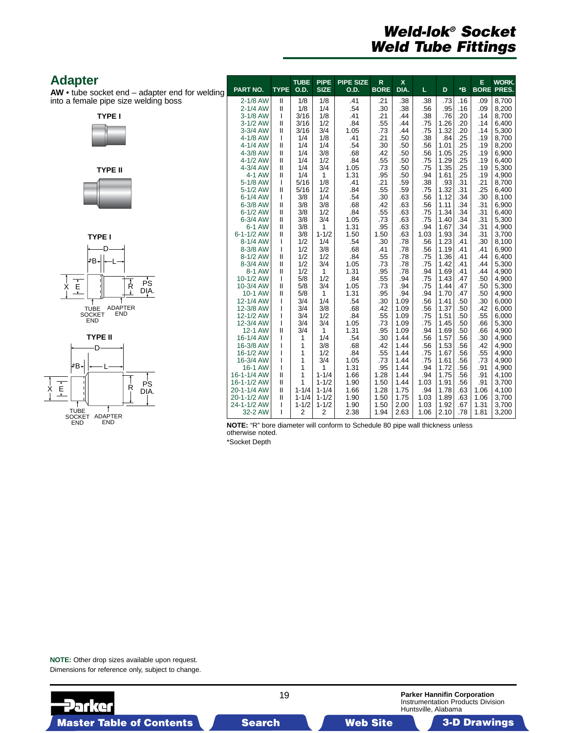### <span id="page-18-0"></span>**Adapter**

**AW** • tube socket end – adapter end for welding into a female pipe size welding boss









| <b>PART NO.</b>            | <b>TYPE</b>                    | <b>TUBE</b><br><b>O.D.</b> | <b>PIPE</b><br><b>SIZE</b> | <b>PIPE SIZE</b><br>O.D. | $\mathsf{R}$<br><b>BORE</b> | $\mathsf{x}$<br>DIA. | L           | D            | *B         | E<br><b>BORE</b> | <b>WORK.</b><br>PRES. |
|----------------------------|--------------------------------|----------------------------|----------------------------|--------------------------|-----------------------------|----------------------|-------------|--------------|------------|------------------|-----------------------|
| 2-1/8 AW                   | Ш                              | 1/8                        | 1/8                        | .41                      | .21                         | .38                  | .38         | .73          | .16        | .09              | 8,700                 |
| 2-1/4 AW<br>3-1/8 AW       | $\mathbf{I}$                   | 1/8<br>3/16                | 1/4<br>1/8                 | .54                      | .30<br>.21                  | .38                  | .56<br>.38  | .95<br>.76   | .16<br>.20 | .09<br>.14       | 8,200<br>8,700        |
| 3-1/2 AW                   | T<br>$\mathbf{I}$              | 3/16                       | 1/2                        | .41<br>.84               | .55                         | .44<br>.44           | .75         | 1.26         | .20        | .14              | 6,400                 |
| 3-3/4 AW                   | $\mathbf{I}$                   | 3/16                       | 3/4                        | 1.05                     | .73                         | .44                  | .75         | 1.32         | .20        | .14              | 5,300                 |
| 4-1/8 AW                   | ı                              | 1/4                        | 1/8                        | .41                      | .21                         | .50                  | .38         | .84          | .25        | .19              | 8,700                 |
| 4-1/4 AW                   | $\mathsf{II}$                  | 1/4                        | 1/4                        | .54                      | .30                         | .50                  | .56         | 1.01         | .25        | .19              | 8,200                 |
| 4-3/8 AW                   | $\mathsf{II}$                  | 1/4                        | 3/8                        | .68                      | .42                         | .50                  | .56         | 1.05         | .25        | .19              | 6,900                 |
| 4-1/2 AW<br>4-3/4 AW       | $\mathbf{I}$<br>$\mathbf{I}$   | 1/4<br>1/4                 | 1/2<br>3/4                 | .84<br>1.05              | .55<br>.73                  | .50<br>.50           | .75<br>.75  | 1.29<br>1.35 | .25<br>.25 | .19<br>.19       | 6,400<br>5,300        |
| 4-1 AW                     | $\mathsf{II}$                  | 1/4                        | 1                          | 1.31                     | .95                         | .50                  | .94         | 1.61         | .25        | .19              | 4,900                 |
| 5-1/8 AW                   | I                              | 5/16                       | 1/8                        | .41                      | .21                         | .59                  | .38         | .93          | .31        | .21              | 8,700                 |
| 5-1/2 AW                   | $\mathbf{I}$                   | 5/16                       | 1/2                        | .84                      | .55                         | .59                  | .75         | 1.32         | .31        | .25              | 6,400                 |
| 6-1/4 AW                   | ı                              | 3/8                        | 1/4                        | .54                      | .30                         | .63                  | .56         | 1.12         | .34        | .30              | 8,100                 |
| 6-3/8 AW<br>6-1/2 AW       | $\mathbf{I}$<br>Ш              | 3/8<br>3/8                 | 3/8<br>1/2                 | .68<br>.84               | .42<br>.55                  | .63<br>.63           | .56<br>.75  | 1.11<br>1.34 | .34<br>.34 | .31<br>.31       | 6,900<br>6,400        |
| 6-3/4 AW                   | $\mathbf{I}$                   | 3/8                        | 3/4                        | 1.05                     | .73                         | .63                  | .75         | 1.40         | .34        | .31              | 5,300                 |
| 6-1 AW                     | Ш                              | 3/8                        | 1                          | 1.31                     | .95                         | .63                  | .94         | 1.67         | .34        | .31              | 4,900                 |
| $6 - 1 - 1/2$ AW           | $\mathsf{II}$                  | 3/8                        | $1 - 1/2$                  | 1.50                     | 1.50                        | .63                  | 1.03        | 1.93         | .34        | .31              | 3,700                 |
| 8-1/4 AW                   | ı                              | 1/2                        | 1/4                        | .54                      | .30                         | .78                  | .56         | 1.23         | .41        | .30              | 8,100                 |
| 8-3/8 AW<br>8-1/2 AW       | ı<br>$\mathbf{I}$              | 1/2<br>1/2                 | 3/8<br>1/2                 | .68<br>.84               | .41<br>.55                  | .78<br>.78           | .56<br>.75  | 1.19<br>1.36 | .41<br>.41 | .41<br>.44       | 6,900<br>6,400        |
| 8-3/4 AW                   | $\mathsf{II}$                  | 1/2                        | 3/4                        | 1.05                     | .73                         | .78                  | .75         | 1.42         | .41        | .44              | 5,300                 |
| 8-1 AW                     | $\mathsf{II}$                  | 1/2                        | 1                          | 1.31                     | .95                         | .78                  | .94         | 1.69         | .41        | .44              | 4,900                 |
| 10-1/2 AW                  | T                              | 5/8                        | 1/2                        | .84                      | .55                         | .94                  | .75         | 1.43         | .47        | .50              | 4.900                 |
| 10-3/4 AW<br>10-1 AW       | $\mathsf{II}$<br>$\mathsf{II}$ | 5/8<br>5/8                 | 3/4<br>1                   | 1.05<br>1.31             | .73<br>.95                  | .94<br>.94           | .75<br>.94  | 1.44<br>1.70 | .47<br>.47 | .50<br>.50       | 5,300                 |
| 12-1/4 AW                  | ı                              | 3/4                        | 1/4                        | .54                      | .30                         | 1.09                 | .56         | 1.41         | .50        | .30              | 4,900<br>6,000        |
| 12-3/8 AW                  | ı                              | 3/4                        | 3/8                        | .68                      | .42                         | 1.09                 | .56         | 1.37         | .50        | .42              | 6,000                 |
| 12-1/2 AW                  | ı                              | 3/4                        | 1/2                        | .84                      | .55                         | 1.09                 | .75         | 1.51         | .50        | .55              | 6,000                 |
| 12-3/4 AW                  | ı                              | 3/4                        | 3/4                        | 1.05                     | .73                         | 1.09                 | .75         | 1.45         | .50        | .66              | 5,300                 |
| 12-1 AW<br>16-1/4 AW       | $\mathsf{II}$<br>ı             | 3/4<br>1                   | 1<br>1/4                   | 1.31<br>.54              | .95<br>.30                  | 1.09<br>1.44         | .94<br>.56  | 1.69<br>1.57 | .50<br>.56 | .66<br>.30       | 4,900<br>4,900        |
| 16-3/8 AW                  | ı                              | 1                          | 3/8                        | .68                      | .42                         | 1.44                 | .56         | 1.53         | .56        | .42              | 4,900                 |
| 16-1/2 AW                  | ı                              | 1                          | 1/2                        | .84                      | .55                         | 1.44                 | .75         | 1.67         | .56        | .55              | 4,900                 |
| 16-3/4 AW                  | ı                              | 1                          | 3/4                        | 1.05                     | .73                         | 1.44                 | .75         | 1.61         | .56        | .73              | 4,900                 |
| 16-1 AW                    | ı                              | 1                          | 1                          | 1.31                     | .95                         | 1.44                 | .94         | 1.72         | .56        | .91              | 4,900                 |
| 16-1-1/4 AW<br>16-1-1/2 AW | Ш<br>$\mathbf{I}$              | 1<br>1                     | $1 - 1/4$<br>$1 - 1/2$     | 1.66<br>1.90             | 1.28<br>1.50                | 1.44<br>1.44         | .94<br>1.03 | 1.75<br>1.91 | .56<br>.56 | .91<br>.91       | 4,100<br>3,700        |
| 20-1-1/4 AW                | $\mathbf{I}$                   | $1 - 1/4$                  | $1 - 1/4$                  | 1.66                     | 1.28                        | 1.75                 | .94         | 1.78         | .63        | 1.06             | 4,100                 |
| 20-1-1/2 AW                | $\mathbf{I}$                   | $1 - 1/4$                  | $1 - 1/2$                  | 1.90                     | 1.50                        | 1.75                 | 1.03        | 1.89         | .63        | 1.06             | 3,700                 |
| 24-1-1/2 AW                | ı                              | $1 - 1/2$                  | $1 - 1/2$                  | 1.90                     | 1.50                        | 2.00                 | 1.03        | 1.92         | .67        | 1.31             | 3,700                 |
| 32-2 AW                    | ı                              | $\overline{2}$             | $\overline{2}$             | 2.38                     | 1.94                        | 2.63                 | 1.06        | 2.10         | .78        | 1.81             | 3,200                 |

**NOTE:** "R" bore diameter will conform to Schedule 80 pipe wall thickness unless otherwise noted.

\*Socket Depth

**NOTE:** Other drop sizes available upon request. Dimensions for reference only, subject to change.

19 **Parker Hannifin Corporation** Instrumentation Products Division **Parker** Huntsville, Alabama Master Table of Contents **3. Dearch Master Table of Contents 3-D Drawings 3-D Drawings 3-D Drawings 3-D Drawings**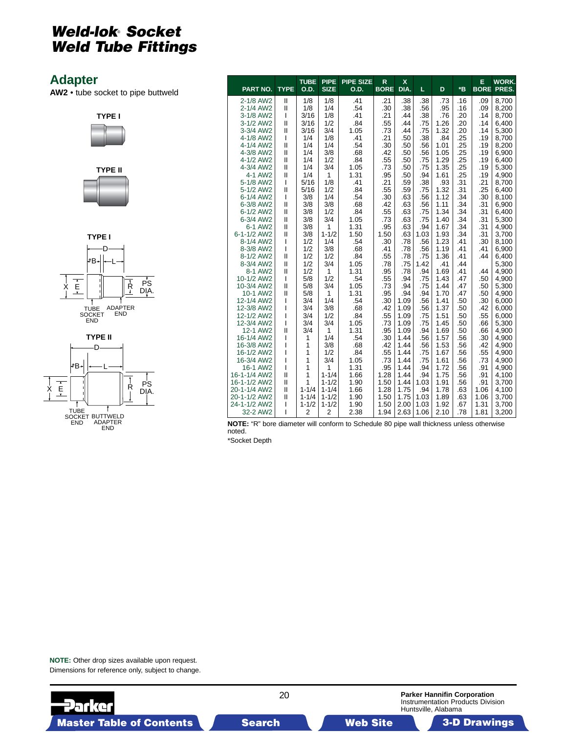### <span id="page-19-0"></span>**Adapter**

**AW2** • tube socket to pipe buttweld









| PART NO.                 | <b>TYPE</b>   | <b>TUBE</b><br>O.D. | <b>PIPE</b><br><b>SIZE</b> | <b>PIPE SIZE</b><br>O.D. | R<br><b>BORE</b> | $\mathbf{x}$<br>DIA. | L           | D            | $*_{\mathsf{B}}$ | E          | <b>WORK.</b><br><b>BORE PRES.</b> |
|--------------------------|---------------|---------------------|----------------------------|--------------------------|------------------|----------------------|-------------|--------------|------------------|------------|-----------------------------------|
| 2-1/8 AW2                | $\mathbf{I}$  | 1/8                 | 1/8                        | .41                      | .21              | .38                  | .38         | .73          | .16              | .09        | 8,700                             |
| 2-1/4 AW2                | $\mathbf{I}$  | 1/8                 | 1/4                        | .54                      | .30              | .38                  | .56         | .95          | .16              | .09        | 8,200                             |
| 3-1/8 AW2                | T             | 3/16                | 1/8                        | .41                      | .21              | .44                  | .38         | .76          | .20              | .14        | 8,700                             |
| 3-1/2 AW2                | $\mathsf{I}$  | 3/16                | 1/2                        | .84                      | .55              | .44                  | .75         | 1.26         | .20              | .14        | 6,400                             |
| 3-3/4 AW2                | Ш             | 3/16                | 3/4                        | 1.05                     | .73              | .44                  | .75         | 1.32         | .20              | .14        | 5,300                             |
| 4-1/8 AW2                | T             | 1/4                 | 1/8                        | .41                      | .21              | .50                  | .38         | .84          | .25              | .19        | 8,700                             |
| 4-1/4 AW2                | $\mathbf{I}$  | 1/4                 | 1/4                        | .54                      | .30              | .50                  | .56         | 1.01         | .25              | .19        | 8,200                             |
| 4-3/8 AW2                | $\mathbf{I}$  | 1/4                 | 3/8                        | .68                      | .42              | .50                  | .56         | 1.05         | .25              | .19        | 6,900                             |
| 4-1/2 AW2                | Ш             | 1/4                 | 1/2                        | .84                      | .55              | .50                  | .75         | 1.29         | .25              | .19        | 6,400                             |
| 4-3/4 AW2                | $\mathsf{I}$  | 1/4                 | 3/4                        | 1.05                     | .73              | .50                  | .75         | 1.35         | .25              | .19        | 5,300                             |
| 4-1 AW2                  | $\mathbf{I}$  | 1/4                 | $\mathbf{1}$               | 1.31                     | .95              | .50                  | .94         | 1.61         | .25              | .19        | 4,900                             |
| 5-1/8 AW2                | I             | 5/16                | 1/8                        | .41                      | .21              | .59                  | .38         | .93          | .31              | .21        | 8,700                             |
| 5-1/2 AW2                | $\mathbf{I}$  | 5/16                | 1/2                        | .84                      | .55              | .59                  | .75         | 1.32         | .31              | .25        | 6,400                             |
| 6-1/4 AW2                | ı             | 3/8                 | 1/4                        | .54                      | .30              | .63                  | .56         | 1.12         | .34              | .30        | 8,100                             |
| 6-3/8 AW2                | $\mathsf{I}$  | 3/8                 | 3/8                        | .68                      | .42              | .63                  | .56         | 1.11         | .34              | .31        | 6,900                             |
| 6-1/2 AW2                | $\mathsf{I}$  | 3/8                 | 1/2                        | .84                      | .55              | .63                  | .75         | 1.34         | .34              | .31        | 6.400                             |
| 6-3/4 AW2                | $\mathsf{I}$  | 3/8                 | 3/4                        | 1.05                     | .73              | .63                  | .75         | 1.40         | .34              | .31        | 5,300                             |
| 6-1 AW2                  | $\mathbf{I}$  | 3/8                 | 1                          | 1.31                     | .95              | .63                  | .94         | 1.67         | .34              | .31        | 4,900                             |
| 6-1-1/2 AW2<br>8-1/4 AW2 | $\mathbf{I}$  | 3/8<br>1/2          | $1 - 1/2$<br>1/4           | 1.50<br>.54              | 1.50<br>.30      | .63<br>.78           | 1.03<br>.56 | 1.93         | .34<br>.41       | .31<br>.30 | 3,700                             |
| 8-3/8 AW2                | I<br>I        | 1/2                 | 3/8                        | .68                      |                  |                      |             | 1.23<br>1.19 | .41              | .41        | 8,100<br>6,900                    |
| 8-1/2 AW2                | $\mathbf{II}$ | 1/2                 | 1/2                        | .84                      | .41<br>.55       | .78<br>.78           | .56<br>.75  | 1.36         | .41              | .44        | 6,400                             |
| 8-3/4 AW2                | $\mathsf{I}$  | 1/2                 | 3/4                        | 1.05                     | .78              | .75                  | 1.42        | .41          | .44              |            | 5,300                             |
| 8-1 AW2                  | Ш             | 1/2                 | 1                          | 1.31                     | .95              | .78                  | .94         | 1.69         | .41              | .44        | 4,900                             |
| 10-1/2 AW2               | I             | 5/8                 | 1/2                        | .54                      | .55              | .94                  | .75         | 1.43         | .47              | .50        | 4,900                             |
| 10-3/4 AW2               | $\mathsf{I}$  | 5/8                 | 3/4                        | 1.05                     | .73              | .94                  | .75         | 1.44         | .47              | .50        | 5,300                             |
| 10-1 AW2                 | $\mathbf{II}$ | 5/8                 | 1                          | 1.31                     | .95              | .94                  | .94         | 1.70         | .47              | .50        | 4,900                             |
| 12-1/4 AW2               | I             | 3/4                 | 1/4                        | .54                      | .30              | 1.09                 | .56         | 1.41         | .50              | .30        | 6,000                             |
| 12-3/8 AW2               | ı             | 3/4                 | 3/8                        | .68                      | .42              | 1.09                 | .56         | 1.37         | .50              | .42        | 6,000                             |
| 12-1/2 AW2               | ı             | 3/4                 | 1/2                        | .84                      | .55              | 1.09                 | .75         | 1.51         | .50              | .55        | 6,000                             |
| 12-3/4 AW2               | ı             | 3/4                 | 3/4                        | 1.05                     | .73              | 1.09                 | .75         | 1.45         | .50              | .66        | 5,300                             |
| 12-1 AW2                 | Ш             | 3/4                 | 1                          | 1.31                     | .95              | 1.09                 | .94         | 1.69         | .50              | .66        | 4,900                             |
| 16-1/4 AW2               | ı             | 1                   | 1/4                        | .54                      | .30              | 1.44                 | .56         | 1.57         | .56              | .30        | 4,900                             |
| 16-3/8 AW2               | ı             | 1                   | 3/8                        | .68                      | .42              | 1.44                 | .56         | 1.53         | .56              | .42        | 4,900                             |
| 16-1/2 AW2               | ı             | 1                   | 1/2                        | .84                      | .55              | 1.44                 | .75         | 1.67         | .56              | .55        | 4,900                             |
| 16-3/4 AW2               | ı             | 1                   | 3/4                        | 1.05                     | .73              | 1.44                 | .75         | 1.61         | .56              | .73        | 4,900                             |
| 16-1 AW2                 | ı             | 1                   | 1                          | 1.31                     | .95              | 1.44                 | .94         | 1.72         | .56              | .91        | 4,900                             |
| 16-1-1/4 AW2             | $\mathsf{I}$  | 1                   | $1 - 1/4$                  | 1.66                     | 1.28             | 1.44                 | .94         | 1.75         | .56              | .91        | 4,100                             |
| 16-1-1/2 AW2             | $\mathsf{I}$  | 1                   | $1 - 1/2$                  | 1.90                     | 1.50             | 1.44                 | 1.03        | 1.91         | .56              | .91        | 3.700                             |
| 20-1-1/4 AW2             | $\mathsf{I}$  | $1 - 1/4$           | $1 - 1/4$                  | 1.66                     | 1.28             | 1.75                 | .94         | 1.78         | .63              | 1.06       | 4,100                             |
| 20-1-1/2 AW2             | $\mathsf{I}$  | $1 - 1/4$           | $1 - 1/2$                  | 1.90                     | 1.50             | 1.75                 | 1.03        | 1.89         | .63              | 1.06       | 3,700                             |
| 24-1-1/2 AW2             | T             | $1 - 1/2$           | $1 - 1/2$                  | 1.90                     | 1.50             | 2.00                 | 1.03        | 1.92         | .67              | 1.31       | 3,700                             |
| 32-2 AW2                 | ı             | $\overline{2}$      | $\overline{2}$             | 2.38                     | 1.94             | 2.63                 | 1.06        | 2.10         | .78              | 1.81       | 3,200                             |

**NOTE:** "R" bore diameter will conform to Schedule 80 pipe wall thickness unless otherwise noted.

\*Socket Depth

**NOTE:** Other drop sizes available upon request. Dimensions for reference only, subject to change.

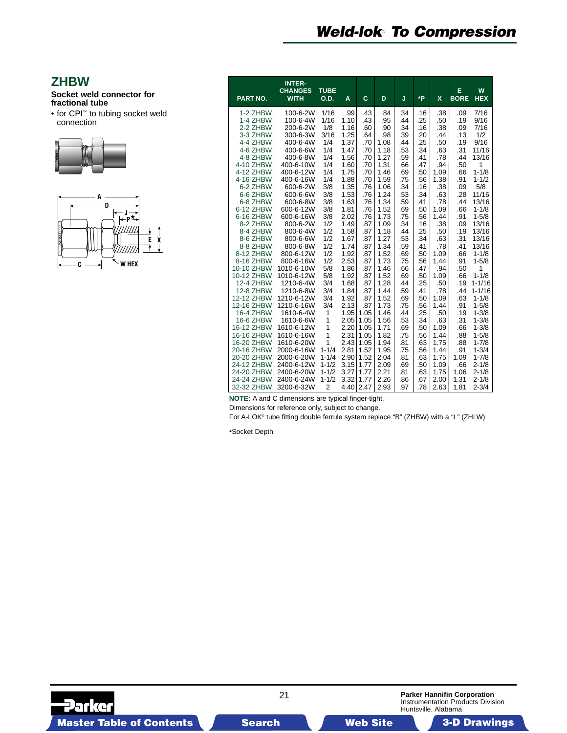# *Weld-lok*® *To Compression*

#### <span id="page-20-0"></span>**ZHBW**

#### **Socket weld connector for fractional tube**

• for CPI™ to tubing socket weld connection





| PART NO.             | <b>INTER-</b><br><b>CHANGES</b><br><b>WITH</b> | <b>TUBE</b><br>O.D. | A            | C          | D            | J          | *P         | $\mathbf x$ | E<br><b>BORE</b> | W<br><b>HEX</b> |
|----------------------|------------------------------------------------|---------------------|--------------|------------|--------------|------------|------------|-------------|------------------|-----------------|
| 1-2 ZHBW             | 100-6-2W                                       | 1/16                | .99          | .43        | .84          | .34        | .16        | .38         | .09              | 7/16            |
| 1-4 ZHBW             | 100-6-4W                                       | 1/16                | 1.10         | .43        | .95          | .44        | .25        | .50         | .19              | 9/16            |
| 2-2 ZHBW             | 200-6-2W                                       | 1/8                 | 1.16         | .60        | .90          | .34        | .16        | .38         | .09              | 7/16            |
| 3-3 ZHBW             | 300-6-3W                                       | 3/16                | 1.25         | .64        | .98          | .39        | .20        | .44         | .13              | 1/2             |
| 4-4 ZHBW             | 400-6-4W                                       | 1/4                 | 1.37         | .70        | 1.08         | .44        | .25        | .50         | .19              | 9/16            |
| 4-6 ZHBW             | 400-6-6W                                       | 1/4                 | 1.47         | .70        | 1.18         | .53        | .34        | .63         | .31              | 11/16           |
| 4-8 ZHBW             | 400-6-8W                                       | 1/4                 | 1.56         | .70        | 1.27         | .59        | .41        | .78         | .44              | 13/16           |
| 4-10 ZHBW            | 400-6-10W                                      | 1/4                 | 1.60         | .70        | 1.31         | .66        | .47        | .94         | .50              | 1               |
| 4-12 ZHBW            | 400-6-12W                                      | 1/4                 | 1.75         | .70        | 1.46         | .69        | .50        | 1.09        | .66              | $1 - 1/8$       |
| 4-16 ZHBW            | 400-6-16W                                      | 1/4                 | 1.88         | .70        | 1.59         | .75        | .56        | 1.38        | .91              | $1 - 1/2$       |
| 6-2 ZHBW             | 600-6-2W                                       | 3/8                 | 1.35         | .76        | 1.06         | .34        | .16        | .38         | .09              | 5/8             |
| 6-6 ZHBW             | 600-6-6W                                       | 3/8                 | 1.53         | .76        | 1.24         | .53        | .34        | .63         | .28              | 11/16           |
| 6-8 ZHBW             | 600-6-8W                                       | 3/8                 | 1.63         | .76        | 1.34         | .59        | .41        | .78         | .44              | 13/16           |
| 6-12 ZHBW            | 600-6-12W                                      | 3/8                 | 1.81         | .76        | 1.52         | .69        | .50        | 1.09        | .66              | $1 - 1/8$       |
| 6-16 ZHBW            | 600-6-16W                                      | 3/8                 | 2.02         | .76        | 1.73         | .75        | .56        | 1.44        | .91              | $1 - 5/8$       |
| 8-2 ZHBW<br>8-4 ZHBW | 800-6-2W                                       | 1/2                 | 1.49         | .87        | 1.09         | .34        | .16        | .38         | .09              | 13/16           |
|                      | 800-6-4W                                       | 1/2                 | 1.58         | .87        | 1.18         | .44        | .25        | .50         | .19              | 13/16           |
| 8-6 ZHBW<br>8-8 ZHBW | 800-6-6W<br>800-6-8W                           | 1/2                 | 1.67         | .87        | 1.27         | .53        | .34        | .63<br>.78  | .31              | 13/16<br>13/16  |
| 8-12 ZHBW            | 800-6-12W                                      | 1/2<br>1/2          | 1.74<br>1.92 | .87<br>.87 | 1.34<br>1.52 | .59<br>.69 | .41<br>.50 | 1.09        | .41<br>.66       | $1 - 1/8$       |
| 8-16 ZHBW            | 800-6-16W                                      | 1/2                 | 2.53         | .87        | 1.73         | .75        | .56        | 1.44        | .91              | $1 - 5/8$       |
| 10-10 ZHBW           | 1010-6-10W                                     | 5/8                 | 1.86         | .87        | 1.46         | .66        | .47        | .94         | .50              | 1               |
| 10-12 ZHBW           | 1010-6-12W                                     | 5/8                 | 1.92         | .87        | 1.52         | .69        | .50        | 1.09        | .66              | $1 - 1/8$       |
| <b>12-4 ZHBW</b>     | 1210-6-4W                                      | 3/4                 | 1.68         | .87        | 1.28         | .44        | .25        | .50         | .19              | $1 - 1/16$      |
| <b>12-8 ZHBW</b>     | 1210-6-8W                                      | 3/4                 | 1.84         | .87        | 1.44         | .59        | .41        | .78         | .44              | $1 - 1/16$      |
| 12-12 ZHBW           | 1210-6-12W                                     | 3/4                 | 1.92         | .87        | 1.52         | .69        | .50        | 1.09        | .63              | $1 - 1/8$       |
| 12-16 ZHBW           | 1210-6-16W                                     | 3/4                 | 2.13         | .87        | 1.73         | .75        | .56        | 1.44        | .91              | $1 - 5/8$       |
| <b>16-4 ZHBW</b>     | 1610-6-4W                                      | 1                   | 1.95         | 1.05       | 1.46         | .44        | .25        | .50         | .19              | $1 - 3/8$       |
| <b>16-6 ZHBW</b>     | 1610-6-6W                                      | 1                   | 2.05         | 1.05       | 1.56         | .53        | .34        | .63         | .31              | $1 - 3/8$       |
| 16-12 ZHBW           | 1610-6-12W                                     | 1                   | 2.20         | 1.05       | 1.71         | .69        | .50        | 1.09        | .66              | $1 - 3/8$       |
| 16-16 ZHBW           | 1610-6-16W                                     | 1                   | 2.31         | 1.05       | 1.82         | .75        | .56        | 1.44        | .88              | $1 - 5/8$       |
| 16-20 ZHBW           | 1610-6-20W                                     | 1                   | 2.43         | 1.05       | 1.94         | .81        | .63        | 1.75        | .88              | $1 - 7/8$       |
| 20-16 ZHBW           | 2000-6-16W                                     | $1 - 1/4$           | 2.81         | 1.52       | 1.95         | .75        | .56        | 1.44        | .91              | $1 - 3/4$       |
| 20-20 ZHBW           | 2000-6-20W                                     | $1 - 1/4$           | 2.90         | 1.52       | 2.04         | .81        | .63        | 1.75        | 1.09             | $1 - 7/8$       |
| 24-12 ZHBW           | 2400-6-12W                                     | $1 - 1/2$           | 3.15         | 1.77       | 2.09         | .69        | .50        | 1.09        | .66              | $2 - 1/8$       |
| 24-20 ZHBW           | 2400-6-20W                                     | $1 - 1/2$           | 3.27         | 1.77       | 2.21         | .81        | .63        | 1.75        | 1.06             | $2 - 1/8$       |
| 24-24 ZHBW           | 2400-6-24W                                     | $1 - 1/2$           | 3.32         | 1.77       | 2.26         | .86        | .67        | 2.00        | 1.31             | $2 - 1/8$       |
| 32-32 ZHBW           | 3200-6-32W                                     | $\overline{2}$      | 4.40         | 2.47       | 2.93         | .97        | .78        | 2.63        | 1.81             | $2 - 3/4$       |

**NOTE:** A and C dimensions are typical finger-tight.

Dimensions for reference only, subject to change.

For A-LOK® tube fitting double ferrule system replace "B" (ZHBW) with a "L" (ZHLW)

\*Socket Depth

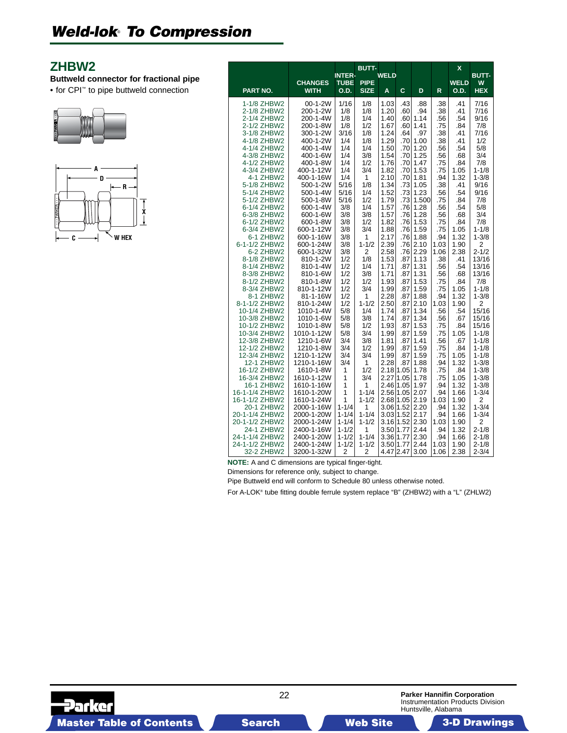### <span id="page-21-0"></span>**ZHBW2**

**Buttweld connector for fractional pipe**

• for CPI™ to pipe buttweld connection





|                                  |                          |                              | <b>BUTT-</b>           |                   |            |              |              | X            |                        |
|----------------------------------|--------------------------|------------------------------|------------------------|-------------------|------------|--------------|--------------|--------------|------------------------|
|                                  | <b>CHANGES</b>           | <b>INTER-</b><br><b>TUBE</b> | <b>PIPE</b>            | <b>WELD</b>       |            |              |              | <b>WELD</b>  | <b>BUTT-</b><br>W      |
| PART NO.                         | <b>WITH</b>              | O.D.                         | <b>SIZE</b>            | A                 | C          | D            | R            | O.D.         | <b>HEX</b>             |
| 1-1/8 ZHBW2                      | 00-1-2W                  | 1/16                         | 1/8                    | 1.03              | .43        | .88          | .38          | .41          | 7/16                   |
| 2-1/8 ZHBW2<br>2-1/4 ZHBW2       | 200-1-2W<br>200-1-4W     | 1/8<br>1/8                   | 1/8<br>1/4             | 1.20<br>1.40      | .60<br>.60 | .94<br>1.14  | .38<br>.56   | .41<br>.54   | 7/16<br>9/16           |
| 2-1/2 ZHBW2                      | 200-1-8W                 | 1/8                          | 1/2                    | 1.67              | .60        | 1.41         | .75          | .84          | 7/8                    |
| 3-1/8 ZHBW2                      | 300-1-2W                 | 3/16                         | 1/8                    | 1.24              | .64        | .97          | .38          | .41          | 7/16                   |
| 4-1/8 ZHBW2                      | 400-1-2W                 | 1/4                          | 1/8                    | 1.29              | .70        | 1.00         | .38          | .41          | 1/2                    |
| 4-1/4 ZHBW2                      | 400-1-4W                 | 1/4                          | 1/4                    | 1.50              | .70        | 1.20         | .56          | .54          | 5/8                    |
| 4-3/8 ZHBW2                      | 400-1-6W                 | 1/4                          | 3/8                    | 1.54              | .70        | 1.25         | .56          | .68          | 3/4                    |
| 4-1/2 ZHBW2                      | 400-1-8W                 | 1/4                          | 1/2                    | 1.76              | .70        | 1.47         | .75          | .84          | 7/8                    |
| 4-3/4 ZHBW2<br>4-1 ZHBW2         | 400-1-12W<br>400-1-16W   | 1/4<br>1/4                   | 3/4<br>1               | 1.82<br>2.10      | .70<br>.70 | 1.53<br>1.81 | .75<br>.94   | 1.05<br>1.32 | $1 - 1/8$<br>$1 - 3/8$ |
| 5-1/8 ZHBW2                      | 500-1-2W                 | 5/16                         | 1/8                    | 1.34              | .73        | 1.05         | .38          | .41          | 9/16                   |
| 5-1/4 ZHBW2                      | 500-1-4W                 | 5/16                         | 1/4                    | 1.52              | .73        | 1.23         | .56          | .54          | 9/16                   |
| 5-1/2 ZHBW2                      | 500-1-8W                 | 5/16                         | 1/2                    | 1.79              | .73        | 1.500        | .75          | .84          | 7/8                    |
| 6-1/4 ZHBW2                      | 600-1-4W                 | 3/8                          | 1/4                    | 1.57              | .76        | 1.28         | .56          | .54          | 5/8                    |
| 6-3/8 ZHBW2                      | 600-1-6W                 | 3/8                          | 3/8                    | 1.57              | .76        | 1.28         | .56          | .68          | 3/4                    |
| 6-1/2 ZHBW2                      | 600-1-8W                 | 3/8                          | 1/2                    | 1.82              | .76        | 1.53         | .75          | .84          | 7/8                    |
| 6-3/4 ZHBW2<br>6-1 ZHBW2         | 600-1-12W<br>600-1-16W   | 3/8<br>3/8                   | 3/4<br>1               | 1.88<br>2.17      | .76<br>.76 | 1.59<br>1.88 | .75<br>.94   | 1.05<br>1.32 | $1 - 1/8$<br>$1 - 3/8$ |
| 6-1-1/2 ZHBW2                    | 600-1-24W                | 3/8                          | $1 - 1/2$              | 2.39              | .76        | 2.10         | 1.03         | 1.90         | 2                      |
| 6-2 ZHBW2                        | 600-1-32W                | 3/8                          | 2                      | 2.58              | .76        | 2.29         | 1.06         | 2.38         | $2 - 1/2$              |
| 8-1/8 ZHBW2                      | 810-1-2W                 | 1/2                          | 1/8                    | 1.53              | .87        | 1.13         | .38          | .41          | 13/16                  |
| 8-1/4 ZHBW2                      | 810-1-4W                 | 1/2                          | 1/4                    | 1.71              | .87        | 1.31         | .56          | .54          | 13/16                  |
| 8-3/8 ZHBW2                      | 810-1-6W                 | 1/2                          | 3/8                    | 1.71              | .87        | 1.31         | .56          | .68          | 13/16                  |
| 8-1/2 ZHBW2<br>8-3/4 ZHBW2       | 810-1-8W<br>810-1-12W    | 1/2<br>1/2                   | 1/2<br>3/4             | 1.93<br>1.99      | .87<br>.87 | 1.53<br>1.59 | .75<br>.75   | .84<br>1.05  | 7/8<br>$1 - 1/8$       |
| 8-1 ZHBW2                        | 81-1-16W                 | 1/2                          | 1                      | 2.28              | .87        | 1.88         | .94          | 1.32         | $1 - 3/8$              |
| 8-1-1/2 ZHBW2                    | 810-1-24W                | 1/2                          | $1 - 1/2$              | 2.50              | .87        | 2.10         | 1.03         | 1.90         | 2                      |
| 10-1/4 ZHBW2                     | 1010-1-4W                | 5/8                          | 1/4                    | 1.74              | .87        | 1.34         | .56          | .54          | 15/16                  |
| 10-3/8 ZHBW2                     | 1010-1-6W                | 5/8                          | 3/8                    | 1.74              | .87        | 1.34         | .56          | .67          | 15/16                  |
| 10-1/2 ZHBW2                     | 1010-1-8W                | 5/8                          | 1/2                    | 1.93              | .87        | 1.53         | .75          | .84          | 15/16                  |
| 10-3/4 ZHBW2<br>12-3/8 ZHBW2     | 1010-1-12W<br>1210-1-6W  | 5/8<br>3/4                   | 3/4<br>3/8             | 1.99<br>1.81      | .87<br>.87 | 1.59<br>1.41 | .75<br>.56   | 1.05<br>.67  | $1 - 1/8$<br>$1 - 1/8$ |
| 12-1/2 ZHBW2                     | 1210-1-8W                | 3/4                          | 1/2                    | 1.99              | .87        | 1.59         | .75          | .84          | $1 - 1/8$              |
| 12-3/4 ZHBW2                     | 1210-1-12W               | 3/4                          | 3/4                    | 1.99              | .87        | 1.59         | .75          | 1.05         | $1 - 1/8$              |
| 12-1 ZHBW2                       | 1210-1-16W               | 3/4                          | 1                      | 2.28              | .87        | 1.88         | .94          | 1.32         | $1 - 3/8$              |
| 16-1/2 ZHBW2                     | 1610-1-8W                | 1                            | 1/2                    | 2.18              | 1.05       | 1.78         | .75          | .84          | $1 - 3/8$              |
| 16-3/4 ZHBW2                     | 1610-1-12W               | 1                            | 3/4                    | 2.27              | 1.05       | 1.78         | .75          | 1.05         | $1 - 3/8$              |
| 16-1 ZHBW2<br>16-1-1/4 ZHBW2     | 1610-1-16W<br>1610-1-20W | 1<br>1                       | 1<br>$1 - 1/4$         | 2.46<br>2.56 1.05 | 1.05       | 1.97         | .94          | 1.32<br>1.66 | $1 - 3/8$<br>$1 - 3/4$ |
| 16-1-1/2 ZHBW2                   | 1610-1-24W               | 1                            | $1 - 1/2$              | 2.68 1.05 2.19    |            | 2.07         | .94<br>1.03  | 1.90         | 2                      |
| 20-1 ZHBW2                       | 2000-1-16W               | $1 - 1/4$                    | 1                      | 3.06 1.52         |            | 2.20         | .94          | 1.32         | $1 - 3/4$              |
| 20-1-1/4 ZHBW2                   | 2000-1-20W               | $1 - 1/4$                    | $1 - 1/4$              | 3.03 1.52         |            | 2.17         | .94          | 1.66         | $1 - 3/4$              |
| 20-1-1/2 ZHBW2                   | 2000-1-24W               | $1 - 1/4$                    | $1 - 1/2$              | 3.16              | 1.52       | 2.30         | 1.03         | 1.90         | $\overline{c}$         |
| 24-1 ZHBW2                       | 2400-1-16W               | $1 - 1/2$                    | 1                      | 3.50              | 1.77       | 2.44         | .94          | 1.32         | $2 - 1/8$              |
| 24-1-1/4 ZHBW2<br>24-1-1/2 ZHBW2 | 2400-1-20W<br>2400-1-24W | $1 - 1/2$<br>$1 - 1/2$       | $1 - 1/4$<br>$1 - 1/2$ | 3.36<br>3.50 1.77 | 1.77       | 2.30<br>2.44 | .94          | 1.66<br>1.90 | $2 - 1/8$<br>$2 - 1/8$ |
| 32-2 ZHBW2                       | 3200-1-32W               | 2                            | 2                      | 4.47 2.47         |            | 3.00         | 1.03<br>1.06 | 2.38         | $2 - 3/4$              |

**NOTE:** A and C dimensions are typical finger-tight.

Dimensions for reference only, subject to change.

Pipe Buttweld end will conform to Schedule 80 unless otherwise noted.

For A-LOK® tube fitting double ferrule system replace "B" (ZHBW2) with a "L" (ZHLW2)

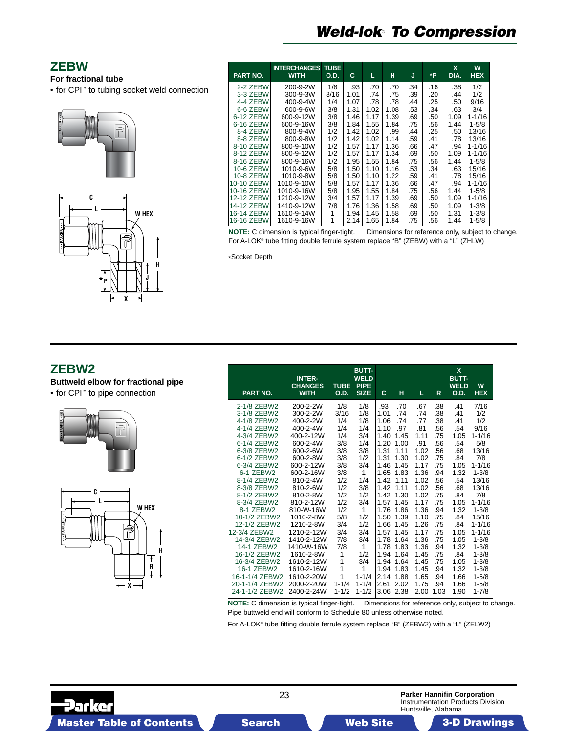# *Weld-lok*® *To Compression*

### <span id="page-22-0"></span>**ZEBW**

#### **For fractional tube**

• for CPI™ to tubing socket weld connection





| <b>PART NO.</b> | <b>INTERCHANGES</b><br><b>WITH</b> | <b>TUBE</b><br><b>O.D.</b> | C    | L    | н    | J   | ۰P  | <b>X</b><br>DIA. | W<br><b>HEX</b> |
|-----------------|------------------------------------|----------------------------|------|------|------|-----|-----|------------------|-----------------|
| 2-2 ZEBW        | 200-9-2W                           | 1/8                        | .93  | .70  | .70  | .34 | .16 | .38              | 1/2             |
| 3-3 ZEBW        | 300-9-3W                           | 3/16                       | 1.01 | .74  | .75  | .39 | .20 | .44              | 1/2             |
| 4-4 ZEBW        | 400-9-4W                           | 1/4                        | 1.07 | .78  | .78  | .44 | .25 | .50              | 9/16            |
| 6-6 ZEBW        | 600-9-6W                           | 3/8                        | 1.31 | 1.02 | 1.08 | .53 | .34 | .63              | 3/4             |
| 6-12 ZEBW       | 600-9-12W                          | 3/8                        | 1.46 | 1.17 | 1.39 | .69 | .50 | 1.09             | $1 - 1/16$      |
| 6-16 ZEBW       | 600-9-16W                          | 3/8                        | 1.84 | 1.55 | 1.84 | .75 | .56 | 1.44             | $1 - 5/8$       |
| 8-4 ZEBW        | 800-9-4W                           | 1/2                        | 1.42 | 1.02 | .99  | .44 | .25 | .50              | 13/16           |
| 8-8 ZEBW        | 800-9-8W                           | 1/2                        | 1.42 | 1.02 | 1.14 | .59 | .41 | .78              | 13/16           |
| 8-10 ZEBW       | 800-9-10W                          | 1/2                        | 1.57 | 1.17 | 1.36 | .66 | .47 | .94              | $1 - 1/16$      |
| 8-12 ZEBW       | 800-9-12W                          | 1/2                        | 1.57 | 1.17 | 1.34 | .69 | .50 | 1.09             | $1 - 1/16$      |
| 8-16 ZEBW       | 800-9-16W                          | 1/2                        | 1.95 | 1.55 | 1.84 | .75 | .56 | 1.44             | $1 - 5/8$       |
| 10-6 ZEBW       | 1010-9-6W                          | 5/8                        | 1.50 | 1.10 | 1.16 | .53 | .34 | .63              | 15/16           |
| 10-8 ZEBW       | 1010-9-8W                          | 5/8                        | 1.50 | 1.10 | 1.22 | .59 | .41 | .78              | 15/16           |
| 10-10 ZEBW      | 1010-9-10W                         | 5/8                        | 1.57 | 1.17 | 1.36 | .66 | .47 | .94              | $1 - 1/16$      |
| 10-16 ZEBW      | 1010-9-16W                         | 5/8                        | 1.95 | 1.55 | 1.84 | .75 | .56 | 1.44             | $1 - 5/8$       |
| 12-12 ZEBW      | 1210-9-12W                         | 3/4                        | 1.57 | 1.17 | 1.39 | .69 | .50 | 1.09             | $1 - 1/16$      |
| 14-12 ZEBW      | 1410-9-12W                         | 7/8                        | 1.76 | 1.36 | 1.58 | .69 | .50 | 1.09             | $1 - 3/8$       |
| 16-14 ZEBW      | 1610-9-14W                         |                            | 1.94 | 1.45 | 1.58 | .69 | .50 | 1.31             | $1 - 3/8$       |
| 16-16 ZEBW      | 1610-9-16W                         | 1                          | 2.14 | 1.65 | 1.84 | .75 | .56 | 1.44             | $1 - 5/8$       |

For A-LOK® tube fitting double ferrule system replace "B" (ZEBW) with a "L" (ZHLW)

**NOTE:** C dimension is typical finger-tight. Dimensions for reference only, subject to change.

\*Socket Depth

### **ZEBW2**

**Buttweld elbow for fractional pipe**

• for CPI™ to pipe connection





| PART NO.                         | <b>INTER-</b><br><b>CHANGES</b><br><b>WITH</b> | <b>TUBE</b><br><b>O.D.</b>     | <b>BUTT-</b><br><b>WELD</b><br><b>PIPE</b><br><b>SIZE</b> | C            | н            | L.           | R           | $\mathbf x$<br><b>BUTT-</b><br><b>WELD</b><br><b>O.D.</b> | W<br><b>HEX</b>        |
|----------------------------------|------------------------------------------------|--------------------------------|-----------------------------------------------------------|--------------|--------------|--------------|-------------|-----------------------------------------------------------|------------------------|
| 2-1/8 ZEBW2<br>3-1/8 ZEBW2       | 200-2-2W<br>300-2-2W                           | 1/8<br>3/16                    | 1/8<br>1/8                                                | .93<br>1.01  | .70<br>.74   | .67<br>.74   | .38<br>.38  | .41<br>.41                                                | 7/16<br>1/2            |
| 4-1/8 ZEBW2                      | 400-2-2W                                       | 1/4                            | 1/8                                                       | 1.06         | .74          | .77          | .38         | .41                                                       | 1/2                    |
| 4-1/4 ZEBW2                      | 400-2-4W                                       | 1/4                            | 1/4                                                       | 1.10         | .97          | .81          | .56         | .54                                                       | 9/16                   |
| 4-3/4 ZEBW2                      | 400-2-12W                                      | 1/4                            | 3/4                                                       | 1.40         | 1.45         | 1.11         | .75         | 1.05                                                      | $1 - 1/16$             |
| 6-1/4 ZEBW2                      | 600-2-4W                                       | 3/8                            | 1/4                                                       | 1.20         | 1.00         | .91          | .56         | .54                                                       | 5/8                    |
| 6-3/8 ZEBW2                      | 600-2-6W                                       | 3/8                            | 3/8                                                       | 1.31         | 1.11         | 1.02         | .56         | .68                                                       | 13/16                  |
| 6-1/2 ZEBW2                      | 600-2-8W                                       | 3/8                            | 1/2                                                       | 1.31         | 1.30         | 1.02         | .75         | .84                                                       | 7/8                    |
| 6-3/4 ZEBW2                      | 600-2-12W                                      | 3/8                            | 3/4                                                       | 1.46         | 1.45         | 1.17         | .75         | 1.05                                                      | $1 - 1/16$             |
| 6-1 ZEBW2                        | 600-2-16W                                      | 3/8                            | 1                                                         | 1.65         | 1.83         | 1.36         | .94         | 1.32                                                      | $1 - 3/8$              |
| 8-1/4 ZEBW2                      | 810-2-4W                                       | 1/2                            | 1/4                                                       | 1.42         | 1.11         | 1.02         | .56         | .54                                                       | 13/16                  |
| 8-3/8 ZEBW2                      | 810-2-6W                                       | 1/2                            | 3/8                                                       | 1.42         | 1.11         | 1.02         | .56         | .68                                                       | 13/16                  |
| 8-1/2 ZEBW2                      | 810-2-8W                                       | 1/2                            | 1/2                                                       | 1.42         | 1.30         | 1.02         | .75         | .84                                                       | 7/8                    |
| 8-3/4 ZEBW2                      | 810-2-12W                                      | 1/2                            | 3/4                                                       | 1.57         | 1.45         | 1.17         | .75         | 1.05                                                      | $1 - 1/16$             |
| 8-1 ZEBW2                        | 810-W-16W                                      | 1/2                            | 1                                                         | 1.76         | 1.86         | 1.36         | .94         | 1.32                                                      | $1 - 3/8$              |
| 10-1/2 ZEBW2                     | 1010-2-8W                                      | 5/8                            | 1/2                                                       | 1.50         | 1.39         | 1.10         | .75         | .84                                                       | 15/16                  |
| 12-1/2 ZEBW2                     | 1210-2-8W                                      | 3/4                            | 1/2                                                       | 1.66         | 1.45         | 1.26         | .75         | .84                                                       | $1 - 1/16$             |
| 12-3/4 ZEBW2                     | 1210-2-12W                                     | 3/4                            | 3/4                                                       | 1.57         | 1.45         | 1.17         | .75         | 1.05                                                      | $1 - 1/16$             |
| 14-3/4 ZEBW2                     | 1410-2-12W                                     | 7/8                            | 3/4                                                       | 1.78         | 1.64         | 1.36         | .75         | 1.05                                                      | $1 - 3/8$              |
| 14-1 ZEBW2                       | 1410-W-16W                                     | 7/8                            | 1                                                         | 1.78         | 1.83         | 1.36         | .94         | 1.32                                                      | $1 - 3/8$              |
| 16-1/2 ZEBW2                     | 1610-2-8W                                      | 1                              | 1/2                                                       | 1.94         | 1.64         | 1.45         | .75         | .84                                                       | $1 - 3/8$              |
| 16-3/4 ZEBW2                     | 1610-2-12W                                     | $\mathbf{1}$<br>$\overline{1}$ | 3/4                                                       | 1.94         | 1.64         | 1.45         | .75         | 1.05                                                      | $1 - 3/8$              |
| 16-1 ZEBW2                       | 1610-2-16W                                     | 1                              | 1                                                         | 1.94         | 1.83         | 1.45         | .94         | 1.32                                                      | $1 - 3/8$              |
| 16-1-1/4 ZEBW2<br>20-1-1/4 ZEBW2 | 1610-2-20W                                     | $1 - 1/4$                      | $1 - 1/4$                                                 | 2.14         | 1.88         | 1.65         | .94         | 1.66                                                      | $1 - 5/8$              |
| 24-1-1/2 ZEBW2                   | 2000-2-20W<br>2400-2-24W                       | $1 - 1/2$                      | $1 - 1/4$<br>$1 - 1/2$                                    | 2.61<br>3.06 | 2.02<br>2.38 | 1.75<br>2.00 | .94<br>1.03 | 1.66<br>1.90                                              | $1 - 5/8$<br>$1 - 7/8$ |
| $\mathbf{M}$                     | to a to a subscribe                            | به والدائه به                  | n:.                                                       |              |              | . e .        |             |                                                           |                        |

**NOTE:** C dimension is typical finger-tight. Dimensions for reference only, subject to change. Pipe buttweld end will conform to Schedule 80 unless otherwise noted.

For A-LOK® tube fitting double ferrule system replace "B" (ZEBW2) with a "L" (ZELW2)

2arke

23

**Parker Hannifin Corporation** Instrumentation Products Division Huntsville, Alabama

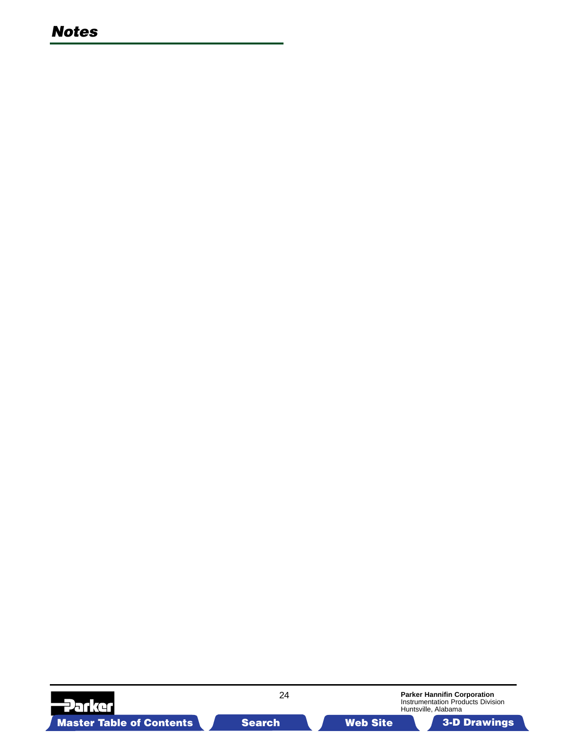### *Notes*

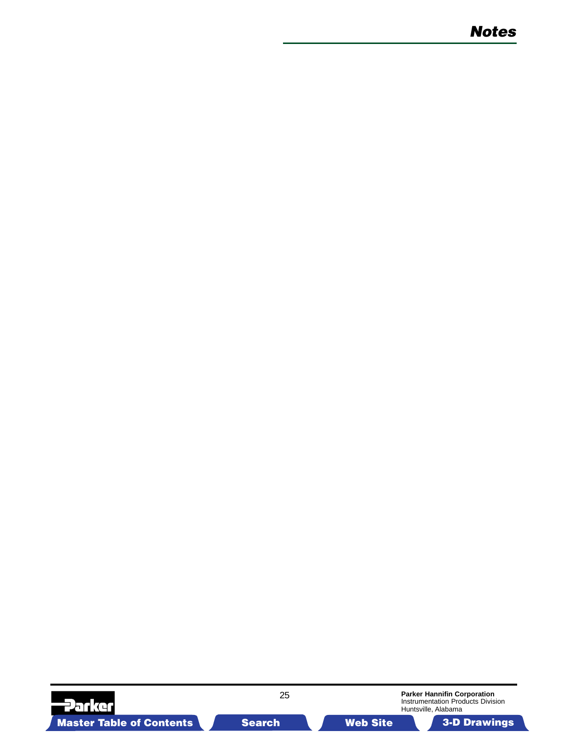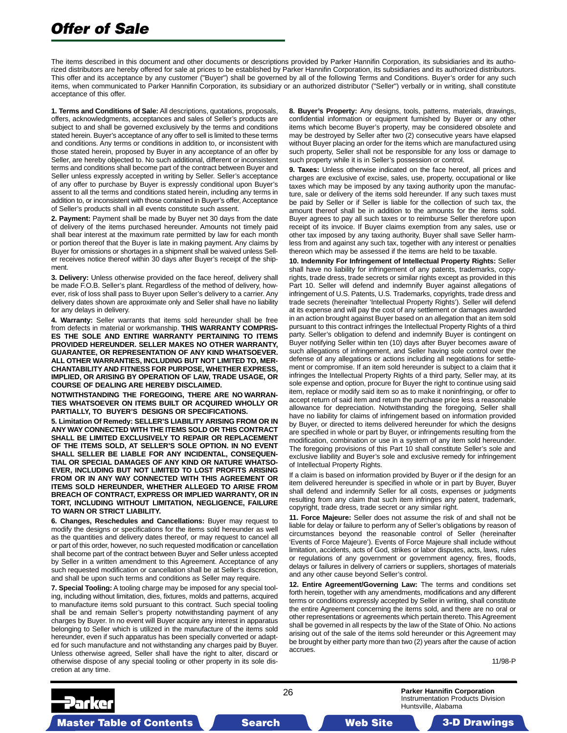# *Offer of Sale*

The items described in this document and other documents or descriptions provided by Parker Hannifin Corporation, its subsidiaries and its authorized distributors are hereby offered for sale at prices to be established by Parker Hannifin Corporation, its subsidiaries and its authorized distributors. This offer and its acceptance by any customer ("Buyer") shall be governed by all of the following Terms and Conditions. Buyer's order for any such items, when communicated to Parker Hannifin Corporation, its subsidiary or an authorized distributor ("Seller") verbally or in writing, shall constitute acceptance of this offer.

**1. Terms and Conditions of Sale:** All descriptions, quotations, proposals, offers, acknowledgments, acceptances and sales of Seller's products are subject to and shall be governed exclusively by the terms and conditions stated herein. Buyer's acceptance of any offer to sell is limited to these terms and conditions. Any terms or conditions in addition to, or inconsistent with those stated herein, proposed by Buyer in any acceptance of an offer by Seller, are hereby objected to. No such additional, different or inconsistent terms and conditions shall become part of the contract between Buyer and Seller unless expressly accepted in writing by Seller. Seller's acceptance of any offer to purchase by Buyer is expressly conditional upon Buyer's assent to all the terms and conditions stated herein, including any terms in addition to, or inconsistent with those contained in Buyer's offer, Acceptance of Seller's products shall in all events constitute such assent.

**2. Payment:** Payment shall be made by Buyer net 30 days from the date of delivery of the items purchased hereunder. Amounts not timely paid shall bear interest at the maximum rate permitted by law for each month or portion thereof that the Buyer is late in making payment. Any claims by Buyer for omissions or shortages in a shipment shall be waived unless Seller receives notice thereof within 30 days after Buyer's receipt of the shipment.

**3. Delivery:** Unless otherwise provided on the face hereof, delivery shall be made F.O.B. Seller's plant. Regardless of the method of delivery, however, risk of loss shall pass to Buyer upon Seller's delivery to a carrier. Any delivery dates shown are approximate only and Seller shall have no liability for any delays in delivery.

**4. Warranty:** Seller warrants that items sold hereunder shall be free from defects in material or workmanship. **THIS WARRANTY COMPRIS-ES THE SOLE AND ENTIRE WARRANTY PERTAINING TO ITEMS PROVIDED HEREUNDER. SELLER MAKES NO OTHER WARRANTY, GUARANTEE, OR REPRESENTATION OF ANY KIND WHATSOEVER. ALL OTHER WARRANTIES, INCLUDING BUT NOT LIMITED TO, MER-CHANTABILITY AND FITNESS FOR PURPOSE, WHETHER EXPRESS, IMPLIED, OR ARISING BY OPERATION OF LAW, TRADE USAGE, OR COURSE OF DEALING ARE HEREBY DISCLAIMED.**

**NOTWITHSTANDING THE FOREGOING, THERE ARE NO WARRAN-TIES WHATSOEVER ON ITEMS BUILT OR ACQUIRED WHOLLY OR PARTIALLY, TO BUYER'S DESIGNS OR SPECIFICATIONS.**

**5. Limitation Of Remedy: SELLER'S LIABILITY ARISING FROM OR IN ANY WAY CONNECTED WITH THE ITEMS SOLD OR THIS CONTRACT SHALL BE LIMITED EXCLUSIVELY TO REPAIR OR REPLACEMENT OF THE ITEMS SOLD, AT SELLER'S SOLE OPTION. IN NO EVENT SHALL SELLER BE LIABLE FOR ANY INCIDENTAL, CONSEQUEN-TIAL OR SPECIAL DAMAGES OF ANY KIND OR NATURE WHATSO-EVER, INCLUDING BUT NOT LIMITED TO LOST PROFITS ARISING FROM OR IN ANY WAY CONNECTED WITH THIS AGREEMENT OR ITEMS SOLD HEREUNDER, WHETHER ALLEGED TO ARISE FROM BREACH OF CONTRACT, EXPRESS OR IMPLIED WARRANTY, OR IN TORT, INCLUDING WITHOUT LIMITATION, NEGLIGENCE, FAILURE TO WARN OR STRICT LIABILITY.**

**6. Changes, Reschedules and Cancellations:** Buyer may request to modify the designs or specifications for the items sold hereunder as well as the quantities and delivery dates thereof, or may request to cancel all or part of this order, however, no such requested modification or cancellation shall become part of the contract between Buyer and Seller unless accepted by Seller in a written amendment to this Agreement. Acceptance of any such requested modification or cancellation shall be at Seller's discretion, and shall be upon such terms and conditions as Seller may require.

**7. Special Tooling:** A tooling charge may be imposed for any special tooling, including without limitation, dies, fixtures, molds and patterns, acquired to manufacture items sold pursuant to this contract. Such special tooling shall be and remain Seller's property notwithstanding payment of any charges by Buyer. In no event will Buyer acquire any interest in apparatus belonging to Seller which is utilized in the manufacture of the items sold hereunder, even if such apparatus has been specially converted or adapted for such manufacture and not withstanding any charges paid by Buyer. Unless otherwise agreed, Seller shall have the right to alter, discard or otherwise dispose of any special tooling or other property in its sole discretion at any time.

**8. Buyer's Property:** Any designs, tools, patterns, materials, drawings, confidential information or equipment furnished by Buyer or any other items which become Buyer's property, may be considered obsolete and may be destroyed by Seller after two (2) consecutive years have elapsed without Buyer placing an order for the items which are manufactured using such property, Seller shall not be responsible for any loss or damage to such property while it is in Seller's possession or control.

**9. Taxes:** Unless otherwise indicated on the face hereof, all prices and charges are exclusive of excise, sales, use, property, occupational or like taxes which may be imposed by any taxing authority upon the manufacture, sale or delivery of the items sold hereunder. If any such taxes must be paid by Seller or if Seller is liable for the collection of such tax, the amount thereof shall be in addition to the amounts for the items sold. Buyer agrees to pay all such taxes or to reimburse Seller therefore upon receipt of its invoice. If Buyer claims exemption from any sales, use or other tax imposed by any taxing authority, Buyer shall save Seller harmless from and against any such tax, together with any interest or penalties thereon which may be assessed if the items are held to be taxable.

**10. Indemnity For Infringement of Intellectual Property Rights:** Seller shall have no liability for infringement of any patents, trademarks, copyrights, trade dress, trade secrets or similar rights except as provided in this Part 10. Seller will defend and indemnify Buyer against allegations of infringement of U.S. Patents, U.S. Trademarks, copyrights, trade dress and trade secrets (hereinafter 'Intellectual Property Rights'). Seller will defend at its expense and will pay the cost of any settlement or damages awarded in an action brought against Buyer based on an allegation that an item sold pursuant to this contract infringes the Intellectual Property Rights of a third party. Seller's obligation to defend and indemnify Buyer is contingent on Buyer notifying Seller within ten (10) days after Buyer becomes aware of such allegations of infringement, and Seller having sole control over the defense of any allegations or actions including all negotiations for settlement or compromise. If an item sold hereunder is subject to a claim that it infringes the Intellectual Property Rights of a third party, Seller may, at its sole expense and option, procure for Buyer the right to continue using said item, replace or modify said item so as to make it noninfringing, or offer to accept return of said item and return the purchase price less a reasonable allowance for depreciation. Notwithstanding the foregoing, Seller shall have no liability for claims of infringement based on information provided by Buyer, or directed to items delivered hereunder for which the designs are specified in whole or part by Buyer, or infringements resulting from the modification, combination or use in a system of any item sold hereunder. The foregoing provisions of this Part 10 shall constitute Seller's sole and exclusive liability and Buyer's sole and exclusive remedy for infringement of Intellectual Property Rights.

If a claim is based on information provided by Buyer or if the design for an item delivered hereunder is specified in whole or in part by Buyer, Buyer shall defend and indemnify Seller for all costs, expenses or judgments resulting from any claim that such item infringes any patent, trademark, copyright, trade dress, trade secret or any similar right.

**11. Force Majeure:** Seller does not assume the risk of and shall not be liable for delay or failure to perform any of Seller's obligations by reason of circumstances beyond the reasonable control of Seller (hereinafter 'Events of Force Majeure'). Events of Force Majeure shall include without limitation, accidents, acts of God, strikes or labor disputes, acts, laws, rules or regulations of any government or government agency, fires, floods, delays or failures in delivery of carriers or suppliers, shortages of materials and any other cause beyond Seller's control.

**12. Entire Agreement/Governing Law:** The terms and conditions set forth herein, together with any amendments, modifications and any different terms or conditions expressly accepted by Seller in writing, shall constitute the entire Agreement concerning the items sold, and there are no oral or other representations or agreements which pertain thereto. This Agreement shall be governed in all respects by the law of the State of Ohio. No actions arising out of the sale of the items sold hereunder or this Agreement may be brought by either party more than two (2) years after the cause of action accrues.

11/98-P

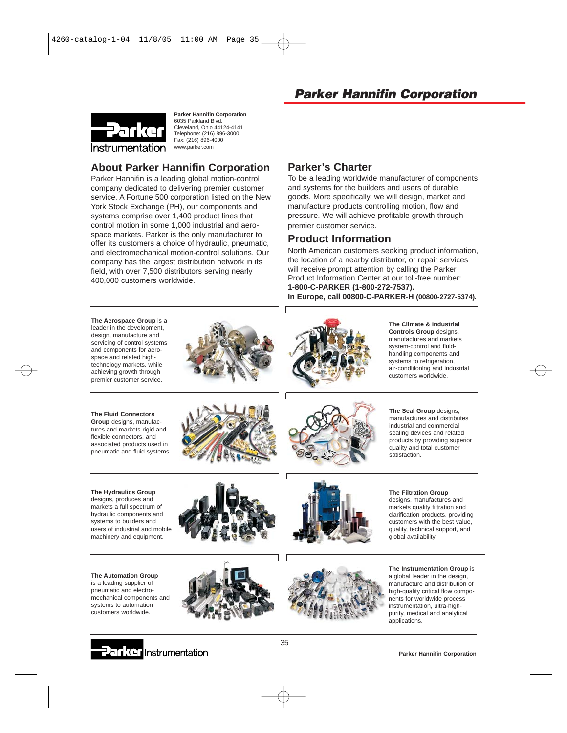

**Parker Hannifin Corporation** 6035 Parkland Blvd. Cleveland, Ohio 44124-4141 Telephone: (216) 896-3000 Fax: (216) 896-4000 www.parker.com

### **About Parker Hannifin Corporation**

Parker Hannifin is a leading global motion-control company dedicated to delivering premier customer service. A Fortune 500 corporation listed on the New York Stock Exchange (PH), our components and systems comprise over 1,400 product lines that control motion in some 1,000 industrial and aerospace markets. Parker is the only manufacturer to offer its customers a choice of hydraulic, pneumatic, and electromechanical motion-control solutions. Our company has the largest distribution network in its field, with over 7,500 distributors serving nearly 400,000 customers worldwide.

### **Parker's Charter**

To be a leading worldwide manufacturer of components and systems for the builders and users of durable goods. More specifically, we will design, market and manufacture products controlling motion, flow and pressure. We will achieve profitable growth through premier customer service.

#### **Product Information**

North American customers seeking product information, the location of a nearby distributor, or repair services will receive prompt attention by calling the Parker Product Information Center at our toll-free number: **1-800-C-PARKER (1-800-272-7537). In Europe, call 00800-C-PARKER-H (00800-2727-5374).**

**The Aerospace Group** is a leader in the development, design, manufacture and servicing of control systems and components for aerospace and related hightechnology markets, while achieving growth through premier customer service.





**The Climate & Industrial Controls Group** designs, manufactures and markets system-control and fluidhandling components and systems to refrigeration, air-conditioning and industrial customers worldwide.

**The Fluid Connectors Group** designs, manufactures and markets rigid and flexible connectors, and associated products used in

pneumatic and fluid systems.



users of industrial and mobile machinery and equipment.

**The Automation Group** is a leading supplier of pneumatic and electromechanical components and systems to automation customers worldwide.





**The Seal Group** designs, manufactures and distributes industrial and commercial sealing devices and related products by providing superior quality and total customer satisfaction.







**The Instrumentation Group** is a global leader in the design, manufacture and distribution of high-quality critical flow components for worldwide process instrumentation, ultra-highpurity, medical and analytical applications.